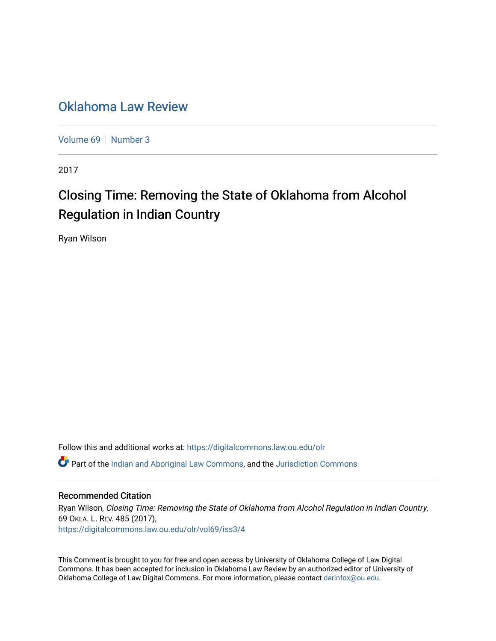# [Oklahoma Law Review](https://digitalcommons.law.ou.edu/olr)

[Volume 69](https://digitalcommons.law.ou.edu/olr/vol69) | [Number 3](https://digitalcommons.law.ou.edu/olr/vol69/iss3)

2017

# Closing Time: Removing the State of Oklahoma from Alcohol Regulation in Indian Country

Ryan Wilson

Follow this and additional works at: [https://digitalcommons.law.ou.edu/olr](https://digitalcommons.law.ou.edu/olr?utm_source=digitalcommons.law.ou.edu%2Folr%2Fvol69%2Fiss3%2F4&utm_medium=PDF&utm_campaign=PDFCoverPages) **C** Part of the [Indian and Aboriginal Law Commons,](http://network.bepress.com/hgg/discipline/894?utm_source=digitalcommons.law.ou.edu%2Folr%2Fvol69%2Fiss3%2F4&utm_medium=PDF&utm_campaign=PDFCoverPages) and the [Jurisdiction Commons](http://network.bepress.com/hgg/discipline/850?utm_source=digitalcommons.law.ou.edu%2Folr%2Fvol69%2Fiss3%2F4&utm_medium=PDF&utm_campaign=PDFCoverPages)

## Recommended Citation

Ryan Wilson, Closing Time: Removing the State of Oklahoma from Alcohol Regulation in Indian Country, 69 OKLA. L. REV. 485 (2017), [https://digitalcommons.law.ou.edu/olr/vol69/iss3/4](https://digitalcommons.law.ou.edu/olr/vol69/iss3/4?utm_source=digitalcommons.law.ou.edu%2Folr%2Fvol69%2Fiss3%2F4&utm_medium=PDF&utm_campaign=PDFCoverPages) 

This Comment is brought to you for free and open access by University of Oklahoma College of Law Digital Commons. It has been accepted for inclusion in Oklahoma Law Review by an authorized editor of University of Oklahoma College of Law Digital Commons. For more information, please contact [darinfox@ou.edu.](mailto:darinfox@ou.edu)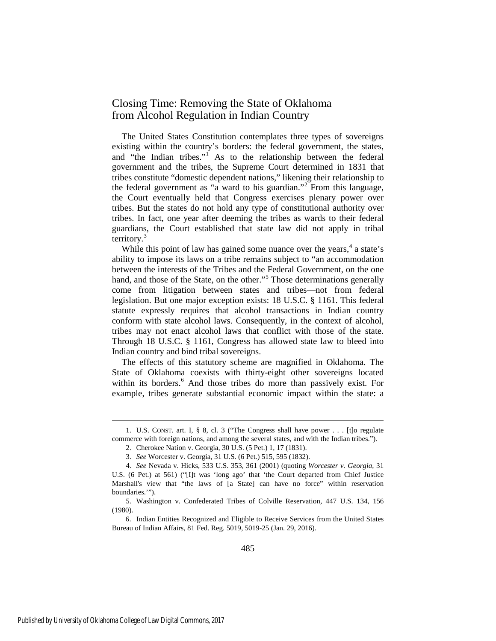# Closing Time: Removing the State of Oklahoma from Alcohol Regulation in Indian Country

The United States Constitution contemplates three types of sovereigns existing within the country's borders: the federal government, the states, and "the Indian tribes." As to the relationship between the federal government and the tribes, the Supreme Court determined in 1831 that tribes constitute "domestic dependent nations," likening their relationship to the federal government as "a ward to his guardian."<sup>[2](#page-1-1)</sup> From this language, the Court eventually held that Congress exercises plenary power over tribes. But the states do not hold any type of constitutional authority over tribes. In fact, one year after deeming the tribes as wards to their federal guardians, the Court established that state law did not apply in tribal territory.<sup>[3](#page-1-2)</sup>

While this point of law has gained some nuance over the years,  $4a$  $4a$  state's ability to impose its laws on a tribe remains subject to "an accommodation between the interests of the Tribes and the Federal Government, on the one hand, and those of the State, on the other."<sup>[5](#page-1-4)</sup> Those determinations generally come from litigation between states and tribes—not from federal legislation. But one major exception exists: 18 U.S.C. § 1161. This federal statute expressly requires that alcohol transactions in Indian country conform with state alcohol laws. Consequently, in the context of alcohol, tribes may not enact alcohol laws that conflict with those of the state. Through 18 U.S.C. § 1161, Congress has allowed state law to bleed into Indian country and bind tribal sovereigns.

The effects of this statutory scheme are magnified in Oklahoma. The State of Oklahoma coexists with thirty-eight other sovereigns located within its borders.<sup>[6](#page-1-5)</sup> And those tribes do more than passively exist. For example, tribes generate substantial economic impact within the state: a

<span id="page-1-1"></span><span id="page-1-0"></span> <sup>1.</sup> U.S. CONST. art. I, § 8, cl. 3 ("The Congress shall have power . . . [t]o regulate commerce with foreign nations, and among the several states, and with the Indian tribes.").

 <sup>2.</sup> Cherokee Nation v. Georgia, 30 U.S. (5 Pet.) 1, 17 (1831).

 <sup>3.</sup> *See* Worcester v. Georgia, 31 U.S. (6 Pet.) 515, 595 (1832).

<span id="page-1-3"></span><span id="page-1-2"></span> <sup>4.</sup> *See* Nevada v. Hicks, 533 U.S. 353, 361 (2001) (quoting *Worcester v. Georgia*, 31 U.S. (6 Pet.) at 561) ("[I]t was 'long ago' that 'the Court departed from Chief Justice Marshall's view that "the laws of [a State] can have no force" within reservation boundaries.'").

<span id="page-1-4"></span> <sup>5.</sup> Washington v. Confederated Tribes of Colville Reservation, 447 U.S. 134, 156 (1980).

<span id="page-1-5"></span> <sup>6.</sup> Indian Entities Recognized and Eligible to Receive Services from the United States Bureau of Indian Affairs, 81 Fed. Reg. 5019, 5019-25 (Jan. 29, 2016).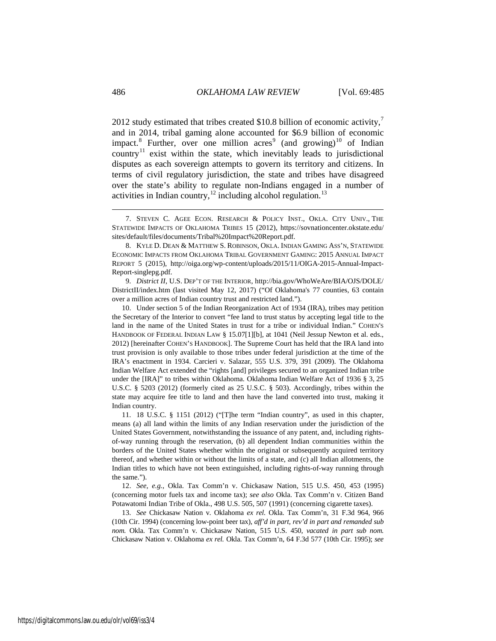<span id="page-2-7"></span>2012 study estimated that tribes created \$10.8 billion of economic activity, $\frac{7}{2}$  $\frac{7}{2}$  $\frac{7}{2}$ and in 2014, tribal gaming alone accounted for \$6.9 billion of economic impact.<sup>[8](#page-2-1)</sup> Further, over one million acres<sup>[9](#page-2-2)</sup> (and growing)<sup>[10](#page-2-3)</sup> of Indian country<sup>[11](#page-2-4)</sup> exist within the state, which inevitably leads to jurisdictional disputes as each sovereign attempts to govern its territory and citizens. In terms of civil regulatory jurisdiction, the state and tribes have disagreed over the state's ability to regulate non-Indians engaged in a number of activities in Indian country, $12 \text{ including alcohol regulation.}^{13}$  $12 \text{ including alcohol regulation.}^{13}$ 

<span id="page-2-2"></span> 9. *District II*, U.S. DEP'T OF THE INTERIOR, http://bia.gov/WhoWeAre/BIA/OJS/DOLE/ DistrictII/index.htm (last visited May 12, 2017) ("Of Oklahoma's 77 counties, 63 contain over a million acres of Indian country trust and restricted land.").

<span id="page-2-3"></span>10. Under section 5 of the Indian Reorganization Act of 1934 (IRA), tribes may petition the Secretary of the Interior to convert "fee land to trust status by accepting legal title to the land in the name of the United States in trust for a tribe or individual Indian." COHEN'S HANDBOOK OF FEDERAL INDIAN LAW § 15.07[1][b], at 1041 (Neil Jessup Newton et al. eds., 2012) [hereinafter COHEN'S HANDBOOK]. The Supreme Court has held that the IRA land into trust provision is only available to those tribes under federal jurisdiction at the time of the IRA's enactment in 1934. Carcieri v. Salazar, 555 U.S. 379, 391 (2009). The Oklahoma Indian Welfare Act extended the "rights [and] privileges secured to an organized Indian tribe under the [IRA]" to tribes within Oklahoma. Oklahoma Indian Welfare Act of 1936 § 3, 25 U.S.C. § 5203 (2012) (formerly cited as 25 U.S.C. § 503). Accordingly, tribes within the state may acquire fee title to land and then have the land converted into trust, making it Indian country.

<span id="page-2-4"></span>11. 18 U.S.C. § 1151 (2012) ("[T]he term "Indian country", as used in this chapter, means (a) all land within the limits of any Indian reservation under the jurisdiction of the United States Government, notwithstanding the issuance of any patent, and, including rightsof-way running through the reservation, (b) all dependent Indian communities within the borders of the United States whether within the original or subsequently acquired territory thereof, and whether within or without the limits of a state, and (c) all Indian allotments, the Indian titles to which have not been extinguished, including rights-of-way running through the same.").

<span id="page-2-5"></span>12. *See, e.g.*, Okla. Tax Comm'n v. Chickasaw Nation, 515 U.S. 450, 453 (1995) (concerning motor fuels tax and income tax); *see also* Okla. Tax Comm'n v. Citizen Band Potawatomi Indian Tribe of Okla., 498 U.S. 505, 507 (1991) (concerning cigarette taxes).

<span id="page-2-6"></span>13. *See* Chickasaw Nation v. Oklahoma *ex rel.* Okla. Tax Comm'n, 31 F.3d 964, 966 (10th Cir. 1994) (concerning low-point beer tax), *aff'd in part, rev'd in part and remanded sub nom.* Okla. Tax Comm'n v. Chickasaw Nation, 515 U.S. 450, *vacated in part sub nom.* Chickasaw Nation v. Oklahoma *ex rel.* Okla. Tax Comm'n, 64 F.3d 577 (10th Cir. 1995); *see*

<span id="page-2-0"></span> <sup>7.</sup> STEVEN C. AGEE ECON. RESEARCH & POLICY INST., OKLA. CITY UNIV., THE STATEWIDE IMPACTS OF OKLAHOMA TRIBES 15 (2012), https://sovnationcenter.okstate.edu/ sites/default/files/documents/Tribal%20Impact%20Report.pdf.

<span id="page-2-1"></span> <sup>8.</sup> KYLE D. DEAN & MATTHEW S. ROBINSON, OKLA. INDIAN GAMING ASS'N, STATEWIDE ECONOMIC IMPACTS FROM OKLAHOMA TRIBAL GOVERNMENT GAMING: 2015 ANNUAL IMPACT REPORT 5 (2015), http://oiga.org/wp-content/uploads/2015/11/OIGA-2015-Annual-Impact-Report-singlepg.pdf.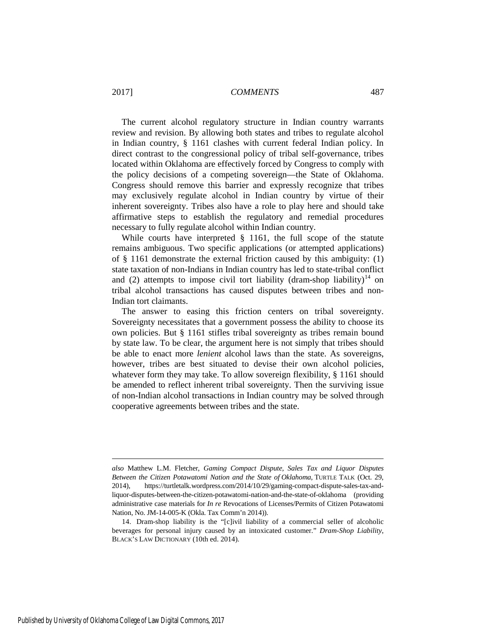The current alcohol regulatory structure in Indian country warrants review and revision. By allowing both states and tribes to regulate alcohol in Indian country, § 1161 clashes with current federal Indian policy. In direct contrast to the congressional policy of tribal self-governance, tribes located within Oklahoma are effectively forced by Congress to comply with the policy decisions of a competing sovereign—the State of Oklahoma. Congress should remove this barrier and expressly recognize that tribes may exclusively regulate alcohol in Indian country by virtue of their inherent sovereignty. Tribes also have a role to play here and should take affirmative steps to establish the regulatory and remedial procedures necessary to fully regulate alcohol within Indian country.

While courts have interpreted § 1161, the full scope of the statute remains ambiguous. Two specific applications (or attempted applications) of § 1161 demonstrate the external friction caused by this ambiguity: (1) state taxation of non-Indians in Indian country has led to state-tribal conflict and (2) attempts to impose civil tort liability (dram-shop liability)<sup>[14](#page-3-0)</sup> on tribal alcohol transactions has caused disputes between tribes and non-Indian tort claimants.

<span id="page-3-1"></span>The answer to easing this friction centers on tribal sovereignty. Sovereignty necessitates that a government possess the ability to choose its own policies. But § 1161 stifles tribal sovereignty as tribes remain bound by state law. To be clear, the argument here is not simply that tribes should be able to enact more *lenient* alcohol laws than the state. As sovereigns, however, tribes are best situated to devise their own alcohol policies, whatever form they may take. To allow sovereign flexibility, § 1161 should be amended to reflect inherent tribal sovereignty. Then the surviving issue of non-Indian alcohol transactions in Indian country may be solved through cooperative agreements between tribes and the state.

<u>.</u>

*also* Matthew L.M. Fletcher, *Gaming [Compact](https://turtletalk.wordpress.com/2014/10/29/gaming-compact-dispute-sales-tax-and-liquor-disputes-between-the-citizen-potawatomi-nation-and-the-state-of-oklahoma/) Dispute, Sales Tax and Liquor Disputes Between the Citizen [Potawatomi](https://turtletalk.wordpress.com/2014/10/29/gaming-compact-dispute-sales-tax-and-liquor-disputes-between-the-citizen-potawatomi-nation-and-the-state-of-oklahoma/) Nation and the State of Oklahoma*, TURTLE TALK (Oct. 29, 2014), https://turtletalk.wordpress.com/2014/10/29/gaming-compact-dispute-sales-tax-andliquor-disputes-between-the-citizen-potawatomi-nation-and-the-state-of-oklahoma (providing administrative case materials for *In re* Revocations of Licenses/Permits of Citizen Potawatomi Nation, No. JM-14-005-K (Okla. Tax Comm'n 2014)).

<span id="page-3-0"></span><sup>14.</sup> Dram-shop liability is the "[c]ivil liability of a commercial seller of alcoholic beverages for personal injury caused by an intoxicated customer." *Dram-Shop Liability*, BLACK'S LAW DICTIONARY (10th ed. 2014).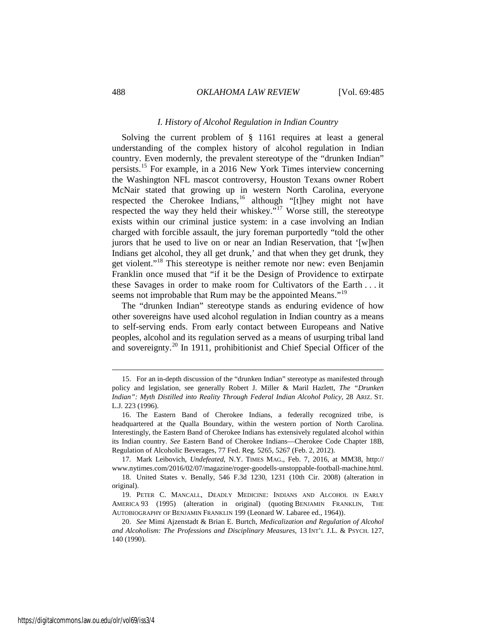#### <span id="page-4-6"></span>*I. History of Alcohol Regulation in Indian Country*

Solving the current problem of § 1161 requires at least a general understanding of the complex history of alcohol regulation in Indian country. Even modernly, the prevalent stereotype of the "drunken Indian" persists.[15](#page-4-0) For example, in a 2016 New York Times interview concerning the Washington NFL mascot controversy, Houston Texans owner Robert McNair stated that growing up in western North Carolina, everyone respected the Cherokee Indians,<sup>[16](#page-4-1)</sup> although "[t]hey might not have respected the way they held their whiskey."[17](#page-4-2) Worse still, the stereotype exists within our criminal justice system: in a case involving an Indian charged with forcible assault, the jury foreman purportedly "told the other jurors that he used to live on or near an Indian Reservation, that '[w]hen Indians get alcohol, they all get drunk,' and that when they get drunk, they get violent."[18](#page-4-3) This stereotype is neither remote nor new: even Benjamin Franklin once mused that "if it be the Design of Providence to extirpate these Savages in order to make room for Cultivators of the Earth . . . it seems not improbable that Rum may be the appointed Means."<sup>[19](#page-4-4)</sup>

The "drunken Indian" stereotype stands as enduring evidence of how other sovereigns have used alcohol regulation in Indian country as a means to self-serving ends. From early contact between Europeans and Native peoples, alcohol and its regulation served as a means of usurping tribal land and sovereignty.<sup>[20](#page-4-5)</sup> In 1911, prohibitionist and Chief Special Officer of the

<span id="page-4-0"></span> <sup>15.</sup> For an in-depth discussion of the "drunken Indian" stereotype as manifested through policy and legislation, see generally Robert J. Miller & Maril Hazlett, *The "Drunken Indian": Myth Distilled into Reality Through Federal Indian Alcohol Policy*, 28 ARIZ. ST. L.J. 223 (1996).

<span id="page-4-1"></span><sup>16.</sup> The Eastern Band of Cherokee Indians, a federally recognized tribe, is headquartered at the Qualla Boundary, within the western portion of North Carolina. Interestingly, the Eastern Band of Cherokee Indians has extensively regulated alcohol within its Indian country. *See* Eastern Band of Cherokee Indians—Cherokee Code Chapter 18B, Regulation of Alcoholic Beverages, 77 Fed. Reg. 5265, 5267 (Feb. 2, 2012).

<span id="page-4-2"></span><sup>17.</sup> Mark Leibovich, *Undefeated*, N.Y. TIMES MAG., Feb. 7, 2016, at MM38, http:// www.nytimes.com/2016/02/07/magazine/roger-goodells-unstoppable-football-machine.html.

<span id="page-4-3"></span><sup>18.</sup> United States v. Benally, 546 F.3d 1230, 1231 (10th Cir. 2008) (alteration in original).

<span id="page-4-4"></span><sup>19.</sup> PETER C. MANCALL, DEADLY MEDICINE: INDIANS AND ALCOHOL IN EARLY AMERICA 93 (1995) (alteration in original) (quoting BENJAMIN FRANKLIN, THE AUTOBIOGRAPHY OF BENJAMIN FRANKLIN 199 (Leonard W. Labaree ed., 1964)).

<span id="page-4-5"></span><sup>20.</sup> *See* Mimi Ajzenstadt & Brian E. Burtch, *Medicalization and Regulation of Alcohol and Alcoholism: The Professions and Disciplinary Measures*, 13 INT'L J.L. & PSYCH. 127, 140 (1990).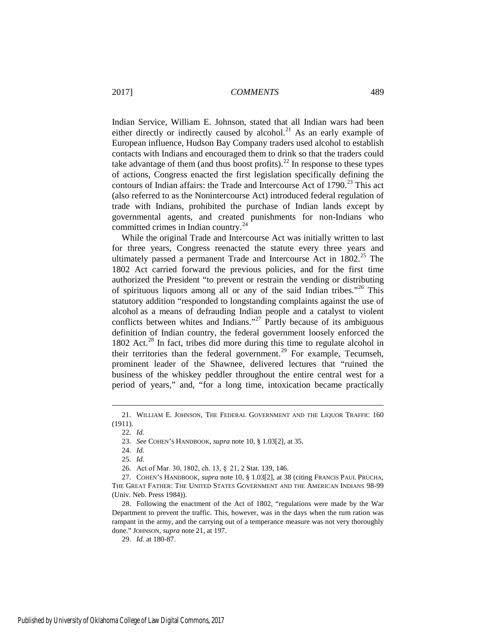<span id="page-5-0"></span>Indian Service, William E. Johnson, stated that all Indian wars had been either directly or indirectly caused by alcohol.<sup>[21](#page-5-1)</sup> As an early example of European influence, Hudson Bay Company traders used alcohol to establish contacts with Indians and encouraged them to drink so that the traders could take advantage of them (and thus boost profits).<sup>[22](#page-5-2)</sup> In response to these types of actions, Congress enacted the first legislation specifically defining the contours of Indian affairs: the Trade and Intercourse Act of  $1790$ <sup>[23](#page-5-3)</sup> This act (also referred to as the Nonintercourse Act) introduced federal regulation of trade with Indians, prohibited the purchase of Indian lands except by governmental agents, and created punishments for non-Indians who committed crimes in Indian country.<sup>[24](#page-5-4)</sup>

While the original Trade and Intercourse Act was initially written to last for three years, Congress reenacted the statute every three years and ultimately passed a permanent Trade and Intercourse Act in 1802.<sup>[25](#page-5-5)</sup> The 1802 Act carried forward the previous policies, and for the first time authorized the President "to prevent or restrain the vending or distributing of spirituous liquors among all or any of the said Indian tribes."[26](#page-5-6) This statutory addition "responded to longstanding complaints against the use of alcohol as a means of defrauding Indian people and a catalyst to violent conflicts between whites and Indians."<sup>[27](#page-5-7)</sup> Partly because of its ambiguous definition of Indian country, the federal government loosely enforced the 1802 Act.<sup>[28](#page-5-8)</sup> In fact, tribes did more during this time to regulate alcohol in their territories than the federal government.<sup>[29](#page-5-9)</sup> For example, Tecumseh, prominent leader of the Shawnee, delivered lectures that "ruined the business of the whiskey peddler throughout the entire central west for a period of years," and, "for a long time, intoxication became practically

<span id="page-5-3"></span><span id="page-5-2"></span><span id="page-5-1"></span> <sup>21.</sup> WILLIAM E. JOHNSON, THE FEDERAL GOVERNMENT AND THE LIQUOR TRAFFIC <sup>160</sup> (1911).

<sup>22.</sup> *Id.*

<sup>23.</sup> *See* COHEN'S HANDBOOK, *supra* note [10,](#page-2-7) § 1.03[2], at 35.

<sup>24.</sup> *Id.*

<sup>25.</sup> *Id.*

<sup>26.</sup> Act of Mar. 30, 1802, ch. 13, §  21, 2 Stat. 139, 146.

<span id="page-5-7"></span><span id="page-5-6"></span><span id="page-5-5"></span><span id="page-5-4"></span><sup>27.</sup> COHEN'S HANDBOOK, *supra* note [10,](#page-2-7) § 1.03[2], at 38 (citing FRANCIS PAUL PRUCHA, THE GREAT FATHER: THE UNITED STATES GOVERNMENT AND THE AMERICAN INDIANS 98-99 (Univ. Neb. Press 1984)).

<span id="page-5-9"></span><span id="page-5-8"></span><sup>28.</sup> Following the enactment of the Act of 1802, "regulations were made by the War Department to prevent the traffic. This, however, was in the days when the rum ration was rampant in the army, and the carrying out of a temperance measure was not very thoroughly done." JOHNSON, *supra* note [21,](#page-5-0) at 197.

<sup>29.</sup> *Id.* at 180-87.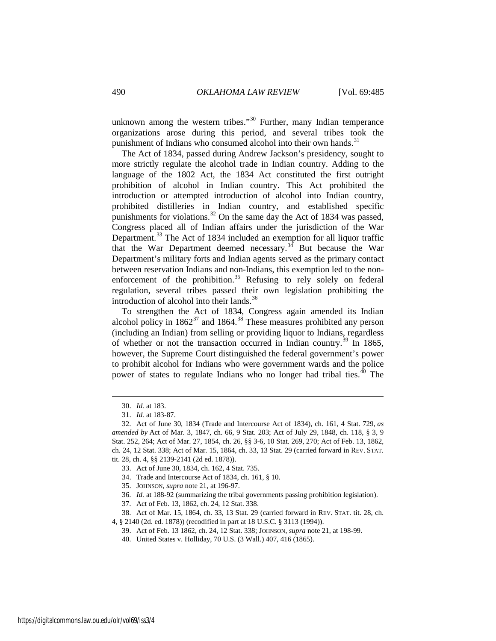unknown among the western tribes."<sup>[30](#page-6-0)</sup> Further, many Indian temperance organizations arose during this period, and several tribes took the punishment of Indians who consumed alcohol into their own hands.<sup>[31](#page-6-1)</sup>

The Act of 1834, passed during Andrew Jackson's presidency, sought to more strictly regulate the alcohol trade in Indian country. Adding to the language of the 1802 Act, the 1834 Act constituted the first outright prohibition of alcohol in Indian country. This Act prohibited the introduction or attempted introduction of alcohol into Indian country, prohibited distilleries in Indian country, and established specific punishments for violations.<sup>[32](#page-6-2)</sup> On the same day the Act of 1834 was passed, Congress placed all of Indian affairs under the jurisdiction of the War Department.<sup>[33](#page-6-3)</sup> The Act of 1834 included an exemption for all liquor traffic that the War Department deemed necessary.<sup>[34](#page-6-4)</sup> But because the War Department's military forts and Indian agents served as the primary contact between reservation Indians and non-Indians, this exemption led to the non-enforcement of the prohibition.<sup>[35](#page-6-5)</sup> Refusing to rely solely on federal regulation, several tribes passed their own legislation prohibiting the introduction of alcohol into their lands.<sup>[36](#page-6-6)</sup>

To strengthen the Act of 1834, Congress again amended its Indian alcohol policy in  $1862^{37}$  $1862^{37}$  $1862^{37}$  and  $1864.^{38}$  $1864.^{38}$  $1864.^{38}$  These measures prohibited any person (including an Indian) from selling or providing liquor to Indians, regardless of whether or not the transaction occurred in Indian country.<sup>[39](#page-6-9)</sup> In 1865, however, the Supreme Court distinguished the federal government's power to prohibit alcohol for Indians who were government wards and the police power of states to regulate Indians who no longer had tribal ties.<sup>[40](#page-6-10)</sup> The

 <sup>30.</sup> *Id.* at 183.

<sup>31.</sup> *Id.* at 183-87.

<span id="page-6-3"></span><span id="page-6-2"></span><span id="page-6-1"></span><span id="page-6-0"></span><sup>32.</sup> Act of June 30, 1834 (Trade and Intercourse Act of 1834), ch. 161, 4 Stat. 729, *as amended by* Act of Mar. 3, 1847, ch. 66, 9 Stat. 203; Act of July 29, 1848, ch. 118, § 3, 9 Stat. 252, 264; Act of Mar. 27, 1854, ch. 26, §§ 3-6, 10 Stat. 269, 270; Act of Feb. 13, 1862, ch. 24, 12 Stat. 338; Act of Mar. 15, 1864, ch. 33, 13 Stat. 29 (carried forward in REV. STAT. tit. 28, ch. 4, §§ 2139-2141 (2d ed. 1878)).

<sup>33.</sup> Act of June 30, 1834, ch. 162, 4 Stat. 735.

<sup>34.</sup> Trade and Intercourse Act of 1834, ch. 161, § 10.

<sup>35.</sup> JOHNSON, *supra* note [21,](#page-5-0) at 196-97.

<sup>36.</sup> *Id.* at 188-92 (summarizing the tribal governments passing prohibition legislation).

<sup>37.</sup> Act of Feb. 13, 1862, ch. 24, 12 Stat. 338.

<span id="page-6-10"></span><span id="page-6-9"></span><span id="page-6-8"></span><span id="page-6-7"></span><span id="page-6-6"></span><span id="page-6-5"></span><span id="page-6-4"></span><sup>38.</sup> Act of Mar. 15, 1864, ch. 33, 13 Stat. 29 (carried forward in REV. STAT. tit. 28, ch. 4, § 2140 (2d. ed. 1878)) (recodified in part at 18 U.S.C. § 3113 (1994)).

<sup>39.</sup> Act of Feb. 13 1862, ch. 24, 12 Stat. 338; JOHNSON, *supra* not[e 21,](#page-5-0) at 198-99.

<sup>40.</sup> United States v. Holliday, 70 U.S. (3 Wall.) 407, 416 (1865).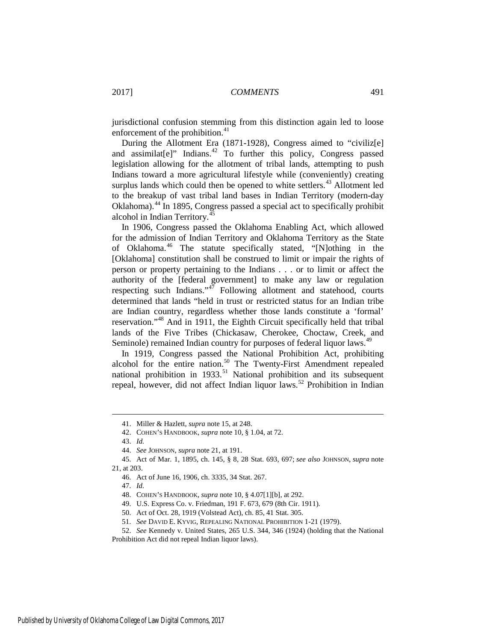jurisdictional confusion stemming from this distinction again led to loose enforcement of the prohibition.<sup>[41](#page-7-0)</sup>

During the Allotment Era (1871-1928), Congress aimed to "civiliz[e] and assimilat[e]" Indians.<sup>[42](#page-7-1)</sup> To further this policy, Congress passed legislation allowing for the allotment of tribal lands, attempting to push Indians toward a more agricultural lifestyle while (conveniently) creating surplus lands which could then be opened to white settlers.<sup>[43](#page-7-2)</sup> Allotment led to the breakup of vast tribal land bases in Indian Territory (modern-day Oklahoma).[44](#page-7-3) In 1895, Congress passed a special act to specifically prohibit alcohol in Indian Territory.<sup>[45](#page-7-4)</sup>

In 1906, Congress passed the Oklahoma Enabling Act, which allowed for the admission of Indian Territory and Oklahoma Territory as the State of Oklahoma.[46](#page-7-5) The statute specifically stated, "[N]othing in the [Oklahoma] constitution shall be construed to limit or impair the rights of person or property pertaining to the Indians . . . or to limit or affect the authority of the [federal government] to make any law or regulation respecting such Indians."<sup>[47](#page-7-6)</sup> Following allotment and statehood, courts determined that lands "held in trust or restricted status for an Indian tribe are Indian country, regardless whether those lands constitute a 'formal' reservation."[48](#page-7-7) And in 1911, the Eighth Circuit specifically held that tribal lands of the Five Tribes (Chickasaw, Cherokee, Choctaw, Creek, and Seminole) remained Indian country for purposes of federal liquor laws.<sup>[49](#page-7-8)</sup>

In 1919, Congress passed the National Prohibition Act, prohibiting alcohol for the entire nation.<sup>[50](#page-7-9)</sup> The Twenty-First Amendment repealed national prohibition in  $1933$ <sup>[51](#page-7-10)</sup> National prohibition and its subsequent repeal, however, did not affect Indian liquor laws.[52](#page-7-11) Prohibition in Indian

 <sup>41.</sup> Miller & Hazlett, *supra* not[e 15,](#page-4-6) at 248.

<sup>42.</sup> COHEN'S HANDBOOK, *supra* note [10,](#page-2-7) § 1.04, at 72.

<sup>43.</sup> *Id.*

<sup>44.</sup> *See* JOHNSON, *supra* note [21,](#page-5-0) at 191.

<span id="page-7-7"></span><span id="page-7-6"></span><span id="page-7-5"></span><span id="page-7-4"></span><span id="page-7-3"></span><span id="page-7-2"></span><span id="page-7-1"></span><span id="page-7-0"></span><sup>45.</sup> Act of Mar. 1, 1895, ch. 145, § 8, 28 Stat. 693, 697; *see also* JOHNSON, *supra* note [21,](#page-5-0) at 203.

<sup>46.</sup> Act of June 16, 1906, ch. 3335, 34 Stat. 267.

<sup>47.</sup> *Id.*

<sup>48.</sup> COHEN'S HANDBOOK, *supra* note [10,](#page-2-7) § 4.07[1][b], at 292.

<sup>49.</sup> U.S. Express Co. v. Friedman, 191 F. 673, 679 (8th Cir. 1911).

<sup>50.</sup> Act of Oct. 28, 1919 (Volstead Act), ch. 85, 41 Stat. 305.

<sup>51.</sup> *See* DAVID E. KYVIG, REPEALING NATIONAL PROHIBITION 1-21 (1979).

<span id="page-7-11"></span><span id="page-7-10"></span><span id="page-7-9"></span><span id="page-7-8"></span><sup>52.</sup> *See* Kennedy v. United States, 265 U.S. 344, 346 (1924) (holding that the National Prohibition Act did not repeal Indian liquor laws).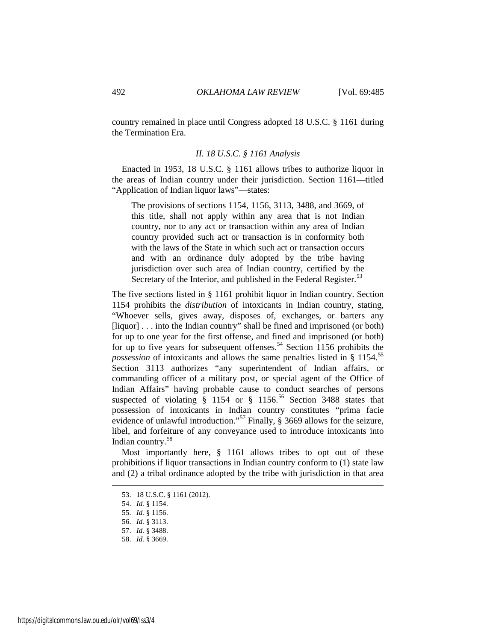country remained in place until Congress adopted 18 U.S.C. § 1161 during the Termination Era.

#### *II. 18 U.S.C. § 1161 Analysis*

Enacted in 1953, 18 U.S.C. § 1161 allows tribes to authorize liquor in the areas of Indian country under their jurisdiction. Section 1161—titled "Application of Indian liquor laws"—states:

The provisions of [sections 1154,](https://a.next.westlaw.com/Link/Document/FullText?findType=L&pubNum=1000546&cite=18USCAS1154&originatingDoc=NFA2FD590B36411D8983DF34406B5929B&refType=LQ&originationContext=document&transitionType=DocumentItem&contextData=(sc.UserEnteredCitation)) [1156,](https://a.next.westlaw.com/Link/Document/FullText?findType=L&pubNum=1000546&cite=18USCAS1156&originatingDoc=NFA2FD590B36411D8983DF34406B5929B&refType=LQ&originationContext=document&transitionType=DocumentItem&contextData=(sc.UserEnteredCitation)) [3113,](https://a.next.westlaw.com/Link/Document/FullText?findType=L&pubNum=1000546&cite=18USCAS3113&originatingDoc=NFA2FD590B36411D8983DF34406B5929B&refType=LQ&originationContext=document&transitionType=DocumentItem&contextData=(sc.UserEnteredCitation)) [3488,](https://a.next.westlaw.com/Link/Document/FullText?findType=L&pubNum=1000546&cite=18USCAS3488&originatingDoc=NFA2FD590B36411D8983DF34406B5929B&refType=LQ&originationContext=document&transitionType=DocumentItem&contextData=(sc.UserEnteredCitation)) and [3669,](https://a.next.westlaw.com/Link/Document/FullText?findType=L&pubNum=1000546&cite=18USCAS3669&originatingDoc=NFA2FD590B36411D8983DF34406B5929B&refType=LQ&originationContext=document&transitionType=DocumentItem&contextData=(sc.UserEnteredCitation)) of this title, shall not apply within any area that is not Indian country, nor to any act or transaction within any area of Indian country provided such act or transaction is in conformity both with the laws of the State in which such act or transaction occurs and with an ordinance duly adopted by the tribe having jurisdiction over such area of Indian country, certified by the Secretary of the Interior, and published in the Federal Register.<sup>[53](#page-8-0)</sup>

The five sections listed in § 1161 prohibit liquor in Indian country. Section 1154 prohibits the *distribution* of intoxicants in Indian country, stating, "Whoever sells, gives away, disposes of, exchanges, or barters any [liquor] . . . into the Indian country" shall be fined and imprisoned (or both) for up to one year for the first offense, and fined and imprisoned (or both) for up to five years for subsequent offenses.<sup>[54](#page-8-1)</sup> Section 1156 prohibits the *possession* of intoxicants and allows the same penalties listed in § 1154.<sup>[55](#page-8-2)</sup> Section 3113 authorizes "any superintendent of Indian affairs, or commanding officer of a military post, or special agent of the Office of Indian Affairs" having probable cause to conduct searches of persons suspected of violating  $\hat{\S}$  1154 or  $\hat{\S}$  11[56](#page-8-3).<sup>56</sup> Section 3488 states that possession of intoxicants in Indian country constitutes "prima facie evidence of unlawful introduction."<sup>[57](#page-8-4)</sup> Finally,  $\S$  3669 allows for the seizure, libel, and forfeiture of any conveyance used to introduce intoxicants into Indian country.[58](#page-8-5)

<span id="page-8-0"></span>Most importantly here, § 1161 allows tribes to opt out of these prohibitions if liquor transactions in Indian country conform to (1) state law and (2) a tribal ordinance adopted by the tribe with jurisdiction in that area

 <sup>53. 18</sup> U.S.C. § 1161 (2012).

<span id="page-8-1"></span><sup>54.</sup> *Id.* § 1154.

<span id="page-8-2"></span><sup>55.</sup> *Id.* § 1156.

<sup>56.</sup> *Id.* § 3113.

<span id="page-8-4"></span><span id="page-8-3"></span><sup>57.</sup> *Id.* § 3488.

<span id="page-8-5"></span><sup>58.</sup> *Id.* § 3669.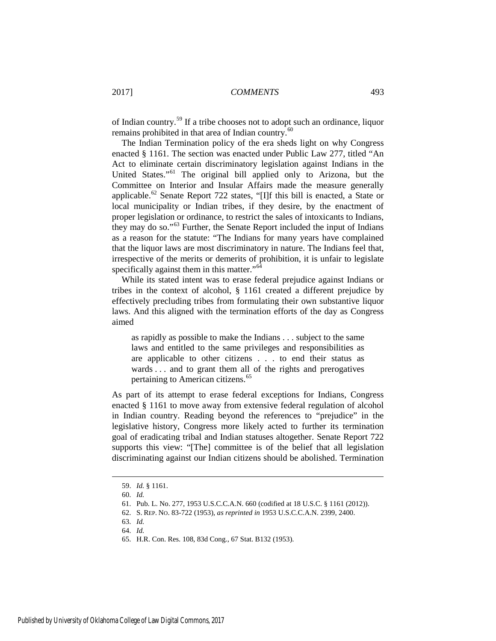of Indian country.[59](#page-9-0) If a tribe chooses not to adopt such an ordinance, liquor remains prohibited in that area of Indian country.<sup>60</sup>

The Indian Termination policy of the era sheds light on why Congress enacted § 1161. The section was enacted under Public Law 277, titled "An Act to eliminate certain discriminatory legislation against Indians in the United States."[61](#page-9-2) The original bill applied only to Arizona, but the Committee on Interior and Insular Affairs made the measure generally applicable.<sup>[62](#page-9-3)</sup> Senate Report 722 states, "[I]f this bill is enacted, a State or local municipality or Indian tribes, if they desire, by the enactment of proper legislation or ordinance, to restrict the sales of intoxicants to Indians, they may do so."<sup>[63](#page-9-4)</sup> Further, the Senate Report included the input of Indians as a reason for the statute: "The Indians for many years have complained that the liquor laws are most discriminatory in nature. The Indians feel that, irrespective of the merits or demerits of prohibition, it is unfair to legislate specifically against them in this matter."<sup>[64](#page-9-5)</sup>

While its stated intent was to erase federal prejudice against Indians or tribes in the context of alcohol, § 1161 created a different prejudice by effectively precluding tribes from formulating their own substantive liquor laws. And this aligned with the termination efforts of the day as Congress aimed

as rapidly as possible to make the Indians . . . subject to the same laws and entitled to the same privileges and responsibilities as are applicable to other citizens . . . to end their status as wards ... and to grant them all of the rights and prerogatives pertaining to American citizens.<sup>[65](#page-9-6)</sup>

As part of its attempt to erase federal exceptions for Indians, Congress enacted § 1161 to move away from extensive federal regulation of alcohol in Indian country. Reading beyond the references to "prejudice" in the legislative history, Congress more likely acted to further its termination goal of eradicating tribal and Indian statuses altogether. Senate Report 722 supports this view: "[The] committee is of the belief that all legislation discriminating against our Indian citizens should be abolished. Termination

<span id="page-9-0"></span> <sup>59.</sup> *Id.* § 1161.

<span id="page-9-1"></span><sup>60.</sup> *Id.*

<span id="page-9-2"></span><sup>61.</sup> Pub. L. No. 277, 1953 U.S.C.C.A.N. 660 (codified at 18 U.S.C. § 1161 (2012)).

<span id="page-9-3"></span><sup>62.</sup> S. REP. NO. 83-722 (1953), *as reprinted in* 1953 U.S.C.C.A.N. 2399, 2400.

<span id="page-9-4"></span><sup>63.</sup> *Id.*

<span id="page-9-5"></span><sup>64.</sup> *Id.*

<span id="page-9-6"></span><sup>65.</sup> H.R. Con. Res. 108, 83d Cong., 67 Stat. B132 (1953).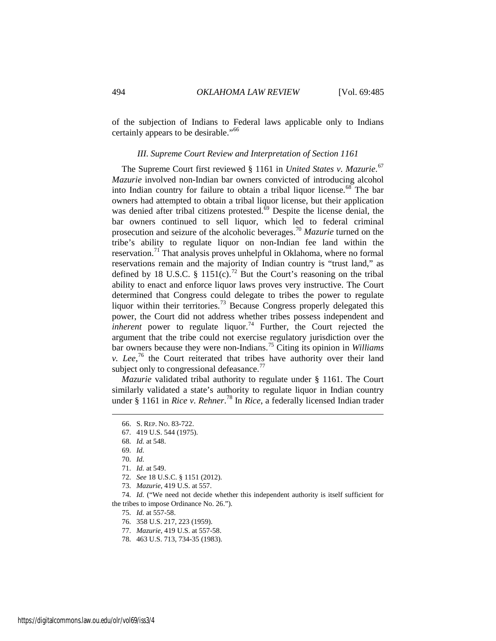of the subjection of Indians to Federal laws applicable only to Indians certainly appears to be desirable."<sup>[66](#page-10-0)</sup>

#### *III. Supreme Court Review and Interpretation of Section 1161*

The Supreme Court first reviewed § 1161 in *United States v. Mazurie*. [67](#page-10-1) *Mazurie* involved non-Indian bar owners convicted of introducing alcohol into Indian country for failure to obtain a tribal liquor license.<sup>[68](#page-10-2)</sup> The bar owners had attempted to obtain a tribal liquor license, but their application was denied after tribal citizens protested. $\overline{69}$  $\overline{69}$  $\overline{69}$  Despite the license denial, the bar owners continued to sell liquor, which led to federal criminal prosecution and seizure of the alcoholic beverages.[70](#page-10-4) *Mazurie* turned on the tribe's ability to regulate liquor on non-Indian fee land within the reservation.<sup>[71](#page-10-5)</sup> That analysis proves unhelpful in Oklahoma, where no formal reservations remain and the majority of Indian country is "trust land," as defined by 18 U.S.C. § 1151(c).<sup>[72](#page-10-6)</sup> But the Court's reasoning on the tribal ability to enact and enforce liquor laws proves very instructive. The Court determined that Congress could delegate to tribes the power to regulate liquor within their territories.<sup>[73](#page-10-7)</sup> Because Congress properly delegated this power, the Court did not address whether tribes possess independent and *inherent* power to regulate liquor.<sup>[74](#page-10-8)</sup> Further, the Court rejected the argument that the tribe could not exercise regulatory jurisdiction over the bar owners because they were non-Indians.[75](#page-10-9) Citing its opinion in *Williams v. Lee*, [76](#page-10-10) the Court reiterated that tribes have authority over their land subject only to congressional defeasance.<sup>[77](#page-10-11)</sup>

<span id="page-10-0"></span>*Mazurie* validated tribal authority to regulate under § 1161. The Court similarly validated a state's authority to regulate liquor in Indian country under § 1161 in *Rice v. Rehner*. [78](#page-10-12) In *Rice*, a federally licensed Indian trader

 <sup>66.</sup> S. REP. NO. 83-722.

<span id="page-10-1"></span><sup>67. 419</sup> U.S. 544 (1975).

<span id="page-10-2"></span><sup>68.</sup> *Id.* at 548.

<sup>69.</sup> *Id.*

<sup>70.</sup> *Id.*

<sup>71.</sup> *Id.* at 549.

<sup>72.</sup> *See* 18 U.S.C. § 1151 (2012).

<sup>73.</sup> *Mazurie*, 419 U.S. at 557.

<span id="page-10-12"></span><span id="page-10-11"></span><span id="page-10-10"></span><span id="page-10-9"></span><span id="page-10-8"></span><span id="page-10-7"></span><span id="page-10-6"></span><span id="page-10-5"></span><span id="page-10-4"></span><span id="page-10-3"></span><sup>74.</sup> *Id.* ("We need not decide whether this independent authority is itself sufficient for the tribes to impose Ordinance No. 26.").

<sup>75.</sup> *Id.* at 557-58.

<sup>76. 358</sup> U.S. 217, 223 (1959).

<sup>77.</sup> *Mazurie*, 419 U.S. at 557-58.

<sup>78. 463</sup> U.S. 713, 734-35 (1983).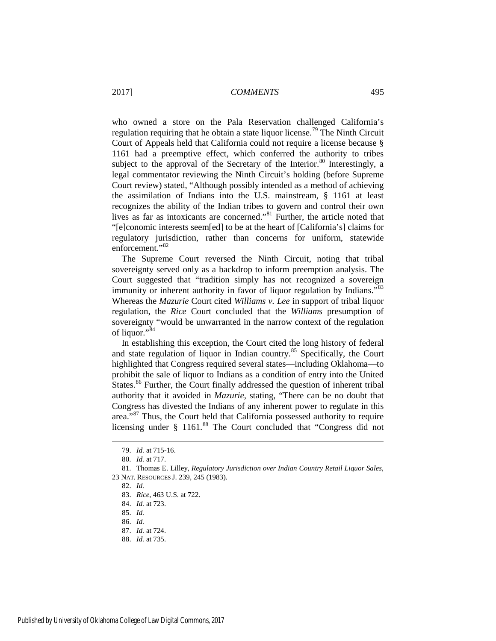who owned a store on the Pala Reservation challenged California's regulation requiring that he obtain a state liquor license.<sup>[79](#page-11-0)</sup> The Ninth Circuit Court of Appeals held that California could not require a license because § 1161 had a preemptive effect, which conferred the authority to tribes subject to the approval of the Secretary of the Interior.<sup>[80](#page-11-1)</sup> Interestingly, a legal commentator reviewing the Ninth Circuit's holding (before Supreme Court review) stated, "Although possibly intended as a method of achieving the assimilation of Indians into the U.S. mainstream, § 1161 at least recognizes the ability of the Indian tribes to govern and control their own lives as far as intoxicants are concerned."[81](#page-11-2) Further, the article noted that "[e]conomic interests seem[ed] to be at the heart of [California's] claims for regulatory jurisdiction, rather than concerns for uniform, statewide enforcement."<sup>[82](#page-11-3)</sup>

<span id="page-11-10"></span>The Supreme Court reversed the Ninth Circuit, noting that tribal sovereignty served only as a backdrop to inform preemption analysis. The Court suggested that "tradition simply has not recognized a sovereign immunity or inherent authority in favor of liquor regulation by Indians."<sup>[83](#page-11-4)</sup> Whereas the *Mazurie* Court cited *Williams v. Lee* in support of tribal liquor regulation, the *Rice* Court concluded that the *Williams* presumption of sovereignty "would be unwarranted in the narrow context of the regulation of liquor."[84](#page-11-5) 

In establishing this exception, the Court cited the long history of federal and state regulation of liquor in Indian country.<sup>[85](#page-11-6)</sup> Specifically, the Court highlighted that Congress required several states—including Oklahoma—to prohibit the sale of liquor to Indians as a condition of entry into the United States.<sup>[86](#page-11-7)</sup> Further, the Court finally addressed the question of inherent tribal authority that it avoided in *Mazurie*, stating, "There can be no doubt that Congress has divested the Indians of any inherent power to regulate in this area."<sup>[87](#page-11-8)</sup> Thus, the Court held that California possessed authority to require licensing under § 1161.<sup>[88](#page-11-9)</sup> The Court concluded that "Congress did not

<span id="page-11-9"></span><span id="page-11-8"></span>88. *Id.* at 735.

 <sup>79.</sup> *Id.* at 715-16.

<sup>80.</sup> *Id.* at 717.

<span id="page-11-6"></span><span id="page-11-5"></span><span id="page-11-4"></span><span id="page-11-3"></span><span id="page-11-2"></span><span id="page-11-1"></span><span id="page-11-0"></span><sup>81.</sup> Thomas E. Lilley, *Regulatory Jurisdiction over Indian Country Retail Liquor Sales*, 23 NAT. RESOURCES J. 239, 245 (1983).

<sup>82.</sup> *Id.*

<sup>83.</sup> *Rice*, 463 U.S. at 722.

<sup>84.</sup> *Id.* at 723.

<sup>85.</sup> *Id.*

<span id="page-11-7"></span><sup>86.</sup> *Id.*

<sup>87.</sup> *Id.* at 724.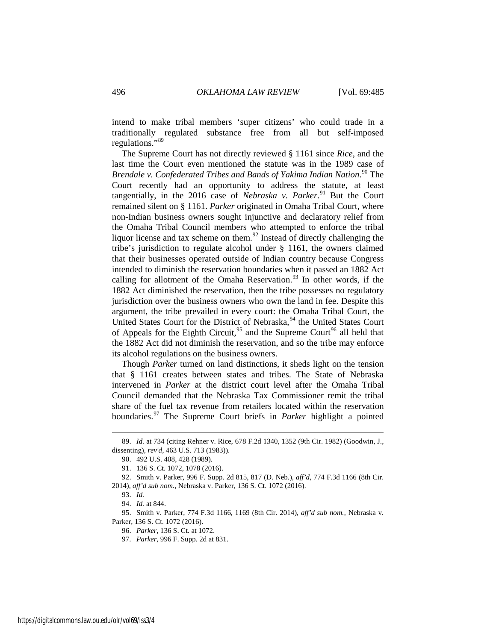intend to make tribal members 'super citizens' who could trade in a traditionally regulated substance free from all but self-imposed regulations."[89](#page-12-0)

The Supreme Court has not directly reviewed § 1161 since *Rice*, and the last time the Court even mentioned the statute was in the 1989 case of *Brendale v. Confederated Tribes and Bands of Yakima Indian Nation*. [90](#page-12-1) The Court recently had an opportunity to address the statute, at least tangentially, in the 2016 case of *Nebraska v. Parker*.<sup>[91](#page-12-2)</sup> But the Court remained silent on § 1161. *Parker* originated in Omaha Tribal Court, where non-Indian business owners sought injunctive and declaratory relief from the Omaha Tribal Council members who attempted to enforce the tribal liquor license and tax scheme on them. $92$  Instead of directly challenging the tribe's jurisdiction to regulate alcohol under § 1161, the owners claimed that their businesses operated outside of Indian country because Congress intended to diminish the reservation boundaries when it passed an 1882 Act calling for allotment of the Omaha Reservation.<sup>[93](#page-12-4)</sup> In other words, if the 1882 Act diminished the reservation, then the tribe possesses no regulatory jurisdiction over the business owners who own the land in fee. Despite this argument, the tribe prevailed in every court: the Omaha Tribal Court, the United States Court for the District of Nebraska,<sup>[94](#page-12-5)</sup> the United States Court of Appeals for the Eighth Circuit,<sup>[95](#page-12-6)</sup> and the Supreme Court<sup>[96](#page-12-7)</sup> all held that the 1882 Act did not diminish the reservation, and so the tribe may enforce its alcohol regulations on the business owners.

Though *Parker* turned on land distinctions, it sheds light on the tension that § 1161 creates between states and tribes. The State of Nebraska intervened in *Parker* at the district court level after the Omaha Tribal Council demanded that the Nebraska Tax Commissioner remit the tribal share of the fuel tax revenue from retailers located within the reservation boundaries.[97](#page-12-8) The Supreme Court briefs in *Parker* highlight a pointed

<span id="page-12-1"></span><span id="page-12-0"></span> <sup>89.</sup> *Id.* at 734 (citing Rehner v. Rice, 678 F.2d 1340, 1352 (9th Cir. 1982) (Goodwin, J., dissenting), *rev'd,* 463 U.S. 713 (1983)).

<sup>90. 492</sup> U.S. 408, 428 (1989).

<sup>91. 136</sup> S. Ct. 1072, 1078 (2016).

<sup>92.</sup> Smith v. Parker, 996 F. Supp. 2d 815, 817 (D. Neb.), *aff'd*, 774 F.3d 1166 (8th Cir.

<span id="page-12-4"></span><span id="page-12-3"></span><span id="page-12-2"></span><sup>2014),</sup> *aff'd sub nom.*, Nebraska v. Parker, 136 S. Ct. 1072 (2016).

<sup>93.</sup> *Id.*

<sup>94.</sup> *Id.* at 844.

<span id="page-12-8"></span><span id="page-12-7"></span><span id="page-12-6"></span><span id="page-12-5"></span><sup>95.</sup> Smith v. Parker, 774 F.3d 1166, 1169 (8th Cir. 2014), *aff'd sub nom.*, Nebraska v. Parker, 136 S. Ct. 1072 (2016).

<sup>96.</sup> *Parker*, 136 S. Ct. at 1072.

<sup>97.</sup> *Parker*, 996 F. Supp. 2d at 831.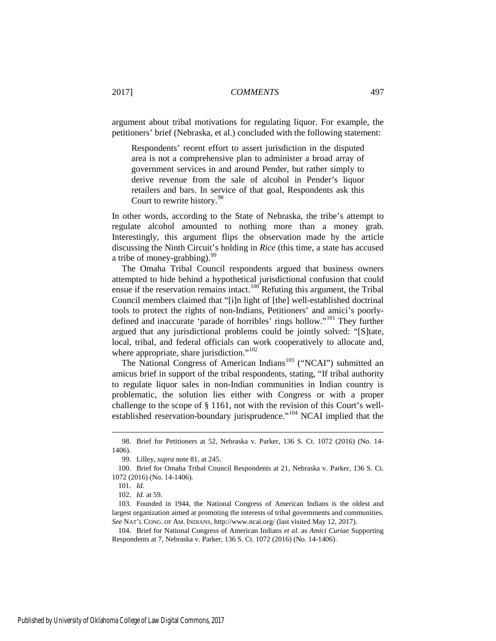argument about tribal motivations for regulating liquor. For example, the petitioners' brief (Nebraska, et al.) concluded with the following statement:

<span id="page-13-7"></span>Respondents' recent effort to assert jurisdiction in the disputed area is not a comprehensive plan to administer a broad array of government services in and around Pender, but rather simply to derive revenue from the sale of alcohol in Pender's liquor retailers and bars. In service of that goal, Respondents ask this Court to rewrite history.<sup>[98](#page-13-0)</sup>

In other words, according to the State of Nebraska, the tribe's attempt to regulate alcohol amounted to nothing more than a money grab. Interestingly, this argument flips the observation made by the article discussing the Ninth Circuit's holding in *Rice* (this time, a state has accused a tribe of money-grabbing).<sup>[99](#page-13-1)</sup>

The Omaha Tribal Council respondents argued that business owners attempted to hide behind a hypothetical jurisdictional confusion that could ensue if the reservation remains intact.<sup>[100](#page-13-2)</sup> Refuting this argument, the Tribal Council members claimed that "[i]n light of [the] well-established doctrinal tools to protect the rights of non-Indians, Petitioners' and amici's poorlydefined and inaccurate 'parade of horribles' rings hollow."[101](#page-13-3) They further argued that any jurisdictional problems could be jointly solved: "[S]tate, local, tribal, and federal officials can work cooperatively to allocate and, where appropriate, share jurisdiction."<sup>[102](#page-13-4)</sup>

The National Congress of American Indians<sup>[103](#page-13-5)</sup> ("NCAI") submitted an amicus brief in support of the tribal respondents, stating, "If tribal authority to regulate liquor sales in non-Indian communities in Indian country is problematic, the solution lies either with Congress or with a proper challenge to the scope of § 1161, not with the revision of this Court's well-established reservation-boundary jurisprudence."<sup>[104](#page-13-6)</sup> NCAI implied that the

<span id="page-13-0"></span> <sup>98.</sup> Brief for Petitioners at 52, Nebraska v. Parker, 136 S. Ct. 1072 (2016) (No. 14- 1406).

<sup>99.</sup> Lilley, *supra* note [81,](#page-11-10) at 245.

<span id="page-13-2"></span><span id="page-13-1"></span><sup>100.</sup> Brief for Omaha Tribal Council Respondents at 21, Nebraska v. Parker, 136 S. Ct. 1072 (2016) (No. 14-1406).

<sup>101.</sup> *Id.*

<sup>102.</sup> *Id.* at 59.

<span id="page-13-5"></span><span id="page-13-4"></span><span id="page-13-3"></span><sup>103.</sup> Founded in 1944, the National Congress of American Indians is the oldest and largest organization aimed at promoting the interests of tribal governments and communities. *See* NAT'L CONG. OF AM. INDIANS, http://www.ncai.org/ (last visited May 12, 2017).

<span id="page-13-6"></span><sup>104.</sup> Brief for National Congress of American Indians *et al.* as *Amici Curiae* Supporting Respondents at 7, Nebraska v. Parker, 136 S. Ct. 1072 (2016) (No. 14-1406).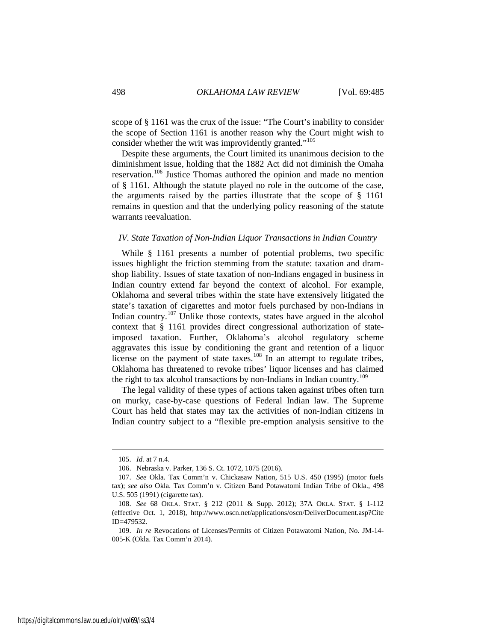scope of § 1161 was the crux of the issue: "The Court's inability to consider the scope of Section 1161 is another reason why the Court might wish to consider whether the writ was improvidently granted."<sup>105</sup>

Despite these arguments, the Court limited its unanimous decision to the diminishment issue, holding that the 1882 Act did not diminish the Omaha reservation.[106](#page-14-1) Justice Thomas authored the opinion and made no mention of § 1161. Although the statute played no role in the outcome of the case, the arguments raised by the parties illustrate that the scope of § 1161 remains in question and that the underlying policy reasoning of the statute warrants reevaluation.

#### *IV. State Taxation of Non-Indian Liquor Transactions in Indian Country*

While § 1161 presents a number of potential problems, two specific issues highlight the friction stemming from the statute: taxation and dramshop liability. Issues of state taxation of non-Indians engaged in business in Indian country extend far beyond the context of alcohol. For example, Oklahoma and several tribes within the state have extensively litigated the state's taxation of cigarettes and motor fuels purchased by non-Indians in Indian country.<sup>[107](#page-14-2)</sup> Unlike those contexts, states have argued in the alcohol context that § 1161 provides direct congressional authorization of stateimposed taxation. Further, Oklahoma's alcohol regulatory scheme aggravates this issue by conditioning the grant and retention of a liquor license on the payment of state taxes.<sup>[108](#page-14-3)</sup> In an attempt to regulate tribes, Oklahoma has threatened to revoke tribes' liquor licenses and has claimed the right to tax alcohol transactions by non-Indians in Indian country.<sup>[109](#page-14-4)</sup>

The legal validity of these types of actions taken against tribes often turn on murky, case-by-case questions of Federal Indian law. The Supreme Court has held that states may tax the activities of non-Indian citizens in Indian country subject to a "flexible pre-emption analysis sensitive to the

<sup>105.</sup> *Id.* at 7 n.4.

<sup>106.</sup> Nebraska v. Parker, 136 S. Ct. 1072, 1075 (2016).

<span id="page-14-2"></span><span id="page-14-1"></span><span id="page-14-0"></span><sup>107.</sup> *See* Okla. Tax Comm'n v. Chickasaw Nation, 515 U.S. 450 (1995) (motor fuels tax); *see also* Okla. Tax Comm'n v. Citizen Band Potawatomi Indian Tribe of Okla., 498 U.S. 505 (1991) (cigarette tax).

<span id="page-14-3"></span><sup>108.</sup> *See* 68 OKLA. STAT. § 212 (2011 & Supp. 2012); 37A OKLA. STAT. § 1-112 (effective Oct. 1, 2018), http://www.oscn.net/applications/oscn/DeliverDocument.asp?Cite ID=479532.

<span id="page-14-4"></span><sup>109.</sup> *In re* Revocations of Licenses/Permits of Citizen Potawatomi Nation, No. JM-14- 005-K (Okla. Tax Comm'n 2014).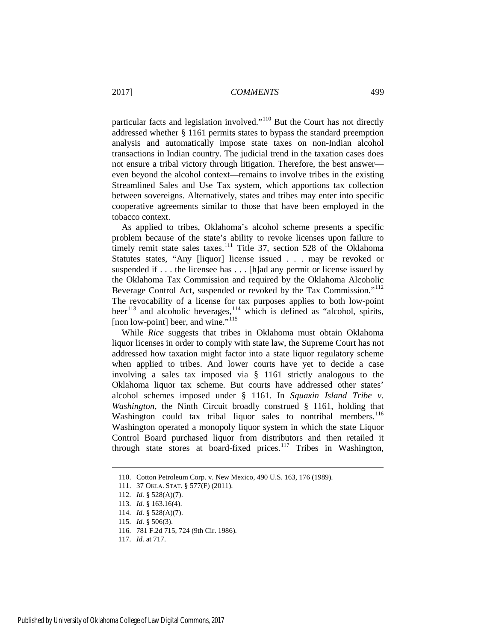particular facts and legislation involved."[110](#page-15-0) But the Court has not directly addressed whether § 1161 permits states to bypass the standard preemption analysis and automatically impose state taxes on non-Indian alcohol transactions in Indian country. The judicial trend in the taxation cases does not ensure a tribal victory through litigation. Therefore, the best answer even beyond the alcohol context—remains to involve tribes in the existing Streamlined Sales and Use Tax system, which apportions tax collection between sovereigns. Alternatively, states and tribes may enter into specific cooperative agreements similar to those that have been employed in the tobacco context.

As applied to tribes, Oklahoma's alcohol scheme presents a specific problem because of the state's ability to revoke licenses upon failure to timely remit state sales taxes.<sup>[111](#page-15-1)</sup> Title 37, section 528 of the Oklahoma Statutes states, "Any [liquor] license issued . . . may be revoked or suspended if . . . the licensee has . . . [h]ad any permit or license issued by the Oklahoma Tax Commission and required by the Oklahoma Alcoholic Beverage Control Act, suspended or revoked by the Tax Commission."[112](#page-15-2) The revocability of a license for tax purposes applies to both low-point beer<sup>[113](#page-15-3)</sup> and alcoholic beverages,  $114$  which is defined as "alcohol, spirits, [non low-point] beer, and wine."<sup>[115](#page-15-5)</sup>

While *Rice* suggests that tribes in Oklahoma must obtain Oklahoma liquor licenses in order to comply with state law, the Supreme Court has not addressed how taxation might factor into a state liquor regulatory scheme when applied to tribes. And lower courts have yet to decide a case involving a sales tax imposed via § 1161 strictly analogous to the Oklahoma liquor tax scheme. But courts have addressed other states' alcohol schemes imposed under § 1161. In *Squaxin Island Tribe v. Washington*, the Ninth Circuit broadly construed § 1161, holding that Washington could tax tribal liquor sales to nontribal members.<sup>[116](#page-15-6)</sup> Washington operated a monopoly liquor system in which the state Liquor Control Board purchased liquor from distributors and then retailed it through state stores at board-fixed prices.<sup>[117](#page-15-7)</sup> Tribes in Washington,

<span id="page-15-0"></span><sup>110.</sup> Cotton Petroleum Corp. v. New Mexico, 490 U.S. 163, 176 (1989).

<sup>111. 37</sup> OKLA. STAT. § 577(F) (2011).

<span id="page-15-2"></span><span id="page-15-1"></span><sup>112.</sup> *Id.* § 528(A)(7).

<span id="page-15-3"></span><sup>113.</sup> *Id.* § 163.16(4).

<sup>114.</sup> *Id.* § 528(A)(7).

<sup>115.</sup> *Id.* § 506(3).

<span id="page-15-7"></span><span id="page-15-6"></span><span id="page-15-5"></span><span id="page-15-4"></span><sup>116. 781</sup> F.2d 715, 724 (9th Cir. 1986).

<sup>117.</sup> *Id.* at 717.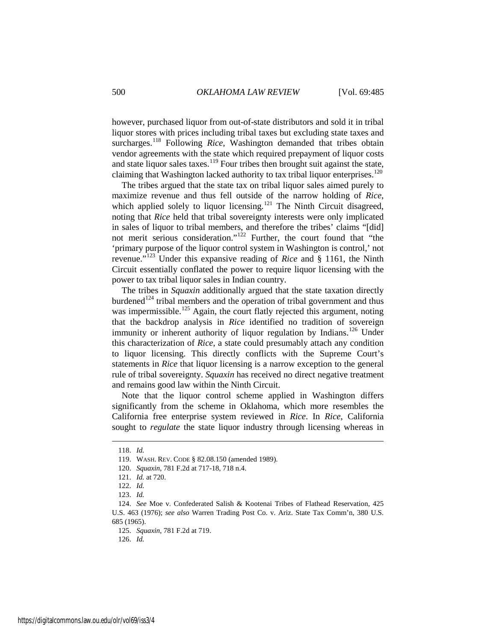however, purchased liquor from out-of-state distributors and sold it in tribal liquor stores with prices including tribal taxes but excluding state taxes and surcharges.<sup>118</sup> Following *Rice*, Washington demanded that tribes obtain vendor agreements with the state which required prepayment of liquor costs and state liquor sales taxes.<sup>119</sup> Four tribes then brought suit against the state, claiming that Washington lacked authority to tax tribal liquor enterprises.<sup>[120](#page-16-2)</sup>

The tribes argued that the state tax on tribal liquor sales aimed purely to maximize revenue and thus fell outside of the narrow holding of *Rice*, which applied solely to liquor licensing.<sup>[121](#page-16-3)</sup> The Ninth Circuit disagreed, noting that *Rice* held that tribal sovereignty interests were only implicated in sales of liquor to tribal members, and therefore the tribes' claims "[did] not merit serious consideration."[122](#page-16-4) Further, the court found that "the 'primary purpose of the liquor control system in Washington is control,' not revenue."[123](#page-16-5) Under this expansive reading of *Rice* and § 1161, the Ninth Circuit essentially conflated the power to require liquor licensing with the power to tax tribal liquor sales in Indian country.

The tribes in *Squaxin* additionally argued that the state taxation directly burdened<sup>[124](#page-16-6)</sup> tribal members and the operation of tribal government and thus was impermissible.<sup>[125](#page-16-7)</sup> Again, the court flatly rejected this argument, noting that the backdrop analysis in *Rice* identified no tradition of sovereign immunity or inherent authority of liquor regulation by Indians.<sup>[126](#page-16-8)</sup> Under this characterization of *Rice*, a state could presumably attach any condition to liquor licensing. This directly conflicts with the Supreme Court's statements in *Rice* that liquor licensing is a narrow exception to the general rule of tribal sovereignty. *Squaxin* has received no direct negative treatment and remains good law within the Ninth Circuit.

Note that the liquor control scheme applied in Washington differs significantly from the scheme in Oklahoma, which more resembles the California free enterprise system reviewed in *Rice*. In *Rice*, California sought to *regulate* the state liquor industry through licensing whereas in

<span id="page-16-1"></span><span id="page-16-0"></span><sup>118.</sup> *Id.*

<sup>119.</sup> WASH. REV. CODE § 82.08.150 (amended 1989).

<sup>120.</sup> *Squaxin*, 781 F.2d at 717-18, 718 n.4.

<sup>121.</sup> *Id.* at 720.

<sup>122.</sup> *Id.*

<sup>123.</sup> *Id.*

<span id="page-16-8"></span><span id="page-16-7"></span><span id="page-16-6"></span><span id="page-16-5"></span><span id="page-16-4"></span><span id="page-16-3"></span><span id="page-16-2"></span><sup>124.</sup> *See* Moe v. Confederated Salish & Kootenai Tribes of Flathead Reservation, 425 U.S. 463 (1976); *see also* Warren Trading Post Co. v. Ariz. State Tax Comm'n, 380 U.S. 685 (1965).

<sup>125.</sup> *Squaxin*, 781 F.2d at 719.

<sup>126.</sup> *Id.*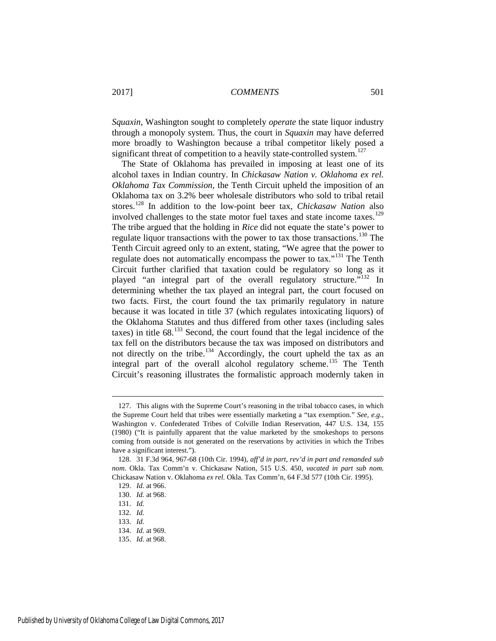*Squaxin*, Washington sought to completely *operate* the state liquor industry through a monopoly system. Thus, the court in *Squaxin* may have deferred more broadly to Washington because a tribal competitor likely posed a significant threat of competition to a heavily state-controlled system.<sup>[127](#page-17-0)</sup>

The State of Oklahoma has prevailed in imposing at least one of its alcohol taxes in Indian country. In *Chickasaw Nation v. Oklahoma ex rel. Oklahoma Tax Commission*, the Tenth Circuit upheld the imposition of an Oklahoma tax on 3.2% beer wholesale distributors who sold to tribal retail stores.[128](#page-17-1) In addition to the low-point beer tax, *Chickasaw Nation* also involved challenges to the state motor fuel taxes and state income taxes.<sup>[129](#page-17-2)</sup> The tribe argued that the holding in *Rice* did not equate the state's power to regulate liquor transactions with the power to tax those transactions.<sup>[130](#page-17-3)</sup> The Tenth Circuit agreed only to an extent, stating, "We agree that the power to regulate does not automatically encompass the power to tax."[131](#page-17-4) The Tenth Circuit further clarified that taxation could be regulatory so long as it played "an integral part of the overall regulatory structure."<sup>[132](#page-17-5)</sup> In determining whether the tax played an integral part, the court focused on two facts. First, the court found the tax primarily regulatory in nature because it was located in title 37 (which regulates intoxicating liquors) of the Oklahoma Statutes and thus differed from other taxes (including sales taxes) in title  $68^{133}$  $68^{133}$  $68^{133}$  Second, the court found that the legal incidence of the tax fell on the distributors because the tax was imposed on distributors and not directly on the tribe.<sup>[134](#page-17-7)</sup> Accordingly, the court upheld the tax as an integral part of the overall alcohol regulatory scheme.<sup>[135](#page-17-8)</sup> The Tenth Circuit's reasoning illustrates the formalistic approach modernly taken in

<span id="page-17-0"></span><sup>127.</sup> This aligns with the Supreme Court's reasoning in the tribal tobacco cases, in which the Supreme Court held that tribes were essentially marketing a "tax exemption." *See, e.g.*, Washington v. Confederated Tribes of Colville Indian Reservation, 447 U.S. 134, 155 (1980) ("It is painfully apparent that the value marketed by the smokeshops to persons coming from outside is not generated on the reservations by activities in which the Tribes have a significant interest.").

<span id="page-17-3"></span><span id="page-17-2"></span><span id="page-17-1"></span><sup>128. 31</sup> F.3d 964, 967-68 (10th Cir. 1994), *aff'd in part, rev'd in part and remanded sub nom.* Okla. Tax Comm'n v. Chickasaw Nation, 515 U.S. 450, *vacated in part sub nom.* Chickasaw Nation v. Oklahoma *ex rel.* Okla. Tax Comm'n, 64 F.3d 577 (10th Cir. 1995).

<sup>129.</sup> *Id.* at 966.

<sup>130.</sup> *Id.* at 968.

<span id="page-17-4"></span><sup>131.</sup> *Id.*

<span id="page-17-5"></span><sup>132.</sup> *Id.*

<span id="page-17-6"></span><sup>133.</sup> *Id.*

<sup>134.</sup> *Id.* at 969.

<span id="page-17-8"></span><span id="page-17-7"></span><sup>135.</sup> *Id.* at 968.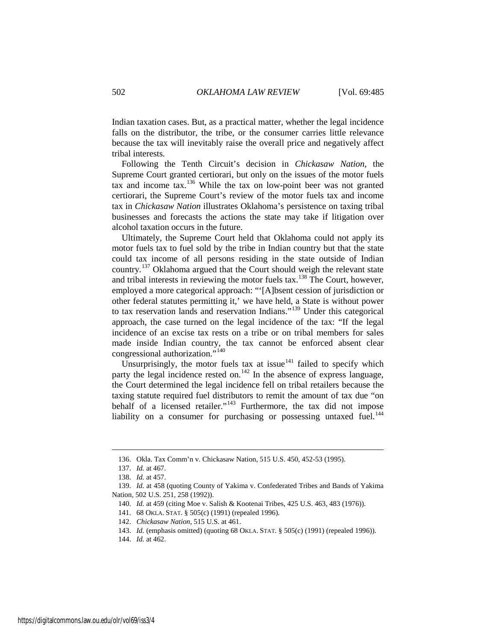Indian taxation cases. But, as a practical matter, whether the legal incidence falls on the distributor, the tribe, or the consumer carries little relevance because the tax will inevitably raise the overall price and negatively affect tribal interests.

Following the Tenth Circuit's decision in *Chickasaw Nation*, the Supreme Court granted certiorari, but only on the issues of the motor fuels tax and income tax.<sup>[136](#page-18-0)</sup> While the tax on low-point beer was not granted certiorari, the Supreme Court's review of the motor fuels tax and income tax in *Chickasaw Nation* illustrates Oklahoma's persistence on taxing tribal businesses and forecasts the actions the state may take if litigation over alcohol taxation occurs in the future.

Ultimately, the Supreme Court held that Oklahoma could not apply its motor fuels tax to fuel sold by the tribe in Indian country but that the state could tax income of all persons residing in the state outside of Indian country.<sup>[137](#page-18-1)</sup> Oklahoma argued that the Court should weigh the relevant state and tribal interests in reviewing the motor fuels tax.<sup>[138](#page-18-2)</sup> The Court, however, employed a more categorical approach: "'[A]bsent cession of jurisdiction or other federal statutes permitting it,' we have held, a State is without power to tax reservation lands and reservation Indians."[139](#page-18-3) Under this categorical approach, the case turned on the legal incidence of the tax: "If the legal incidence of an excise tax rests on a tribe or on tribal members for sales made inside Indian country, the tax cannot be enforced absent clear congressional authorization."<sup>[140](#page-18-4)</sup>

Unsurprisingly, the motor fuels tax at issue $141$  failed to specify which party the legal incidence rested on.<sup>[142](#page-18-6)</sup> In the absence of express language, the Court determined the legal incidence fell on tribal retailers because the taxing statute required fuel distributors to remit the amount of tax due "on behalf of a licensed retailer."<sup>[143](#page-18-7)</sup> Furthermore, the tax did not impose liability on a consumer for purchasing or possessing untaxed fuel. $^{144}$  $^{144}$  $^{144}$ 

<sup>136.</sup> Okla. Tax Comm'n v. Chickasaw Nation, 515 U.S. 450, 452-53 (1995).

<sup>137.</sup> *Id.* at 467.

<sup>138.</sup> *Id.* at 457.

<span id="page-18-6"></span><span id="page-18-5"></span><span id="page-18-4"></span><span id="page-18-3"></span><span id="page-18-2"></span><span id="page-18-1"></span><span id="page-18-0"></span><sup>139.</sup> *Id.* at 458 (quoting County of Yakima v. Confederated Tribes and Bands of Yakima Nation, 502 U.S. 251, 258 (1992)).

<sup>140.</sup> *Id.* at 459 (citing Moe v. Salish & Kootenai Tribes, 425 U.S. 463, 483 (1976)).

<sup>141. 68</sup> OKLA. STAT. § 505(c) (1991) (repealed 1996).

<sup>142.</sup> *Chickasaw Nation*, 515 U.S. at 461.

<span id="page-18-7"></span><sup>143.</sup> *Id.* (emphasis omitted) (quoting 68 OKLA. STAT. § 505(c) (1991) (repealed 1996)).

<span id="page-18-8"></span><sup>144.</sup> *Id.* at 462.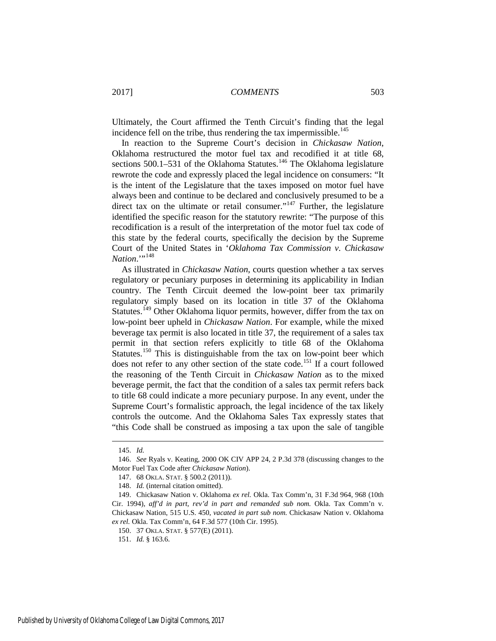Ultimately, the Court affirmed the Tenth Circuit's finding that the legal incidence fell on the tribe, thus rendering the tax impermissible.<sup>145</sup>

In reaction to the Supreme Court's decision in *Chickasaw Nation*, Oklahoma restructured the motor fuel tax and recodified it at title 68, sections  $500.1-531$  of the Oklahoma Statutes.<sup>[146](#page-19-1)</sup> The Oklahoma legislature rewrote the code and expressly placed the legal incidence on consumers: "It is the intent of the Legislature that the taxes imposed on motor fuel have always been and continue to be declared and conclusively presumed to be a direct tax on the ultimate or retail consumer."<sup>[147](#page-19-2)</sup> Further, the legislature identified the specific reason for the statutory rewrite: "The purpose of this recodification is a result of the interpretation of the motor fuel tax code of this state by the federal courts, specifically the decision by the Supreme Court of the United States in '*Oklahoma Tax Commission v. Chickasaw*   $National.^{""148"$  $National.^{""148"$  $National.^{""148"$ 

As illustrated in *Chickasaw Nation*, courts question whether a tax serves regulatory or pecuniary purposes in determining its applicability in Indian country. The Tenth Circuit deemed the low-point beer tax primarily regulatory simply based on its location in title 37 of the Oklahoma Statutes.<sup>[149](#page-19-4)</sup> Other Oklahoma liquor permits, however, differ from the tax on low-point beer upheld in *Chickasaw Nation*. For example, while the mixed beverage tax permit is also located in title 37, the requirement of a sales tax permit in that section refers explicitly to title 68 of the Oklahoma Statutes.<sup>[150](#page-19-5)</sup> This is distinguishable from the tax on low-point beer which does not refer to any other section of the state code.<sup>[151](#page-19-6)</sup> If a court followed the reasoning of the Tenth Circuit in *Chickasaw Nation* as to the mixed beverage permit, the fact that the condition of a sales tax permit refers back to title 68 could indicate a more pecuniary purpose. In any event, under the Supreme Court's formalistic approach, the legal incidence of the tax likely controls the outcome. And the Oklahoma Sales Tax expressly states that "this Code shall be construed as imposing a tax upon the sale of tangible

<sup>145.</sup> *Id.*

<span id="page-19-2"></span><span id="page-19-1"></span><span id="page-19-0"></span><sup>146.</sup> *See* Ryals v. Keating, 2000 OK CIV APP 24, 2 P.3d 378 (discussing changes to the Motor Fuel Tax Code after *Chickasaw Nation*).

<sup>147. 68</sup> OKLA. STAT. § 500.2 (2011)).

<sup>148.</sup> *Id.* (internal citation omitted).

<span id="page-19-5"></span><span id="page-19-4"></span><span id="page-19-3"></span><sup>149.</sup> Chickasaw Nation v. Oklahoma *ex rel.* Okla. Tax Comm'n, 31 F.3d 964, 968 (10th Cir. 1994), *aff'd in part, rev'd in part and remanded sub nom.* Okla. Tax Comm'n v. Chickasaw Nation, 515 U.S. 450, *vacated in part sub nom.* Chickasaw Nation v. Oklahoma *ex rel.* Okla. Tax Comm'n, 64 F.3d 577 (10th Cir. 1995).

<sup>150. 37</sup> OKLA. STAT. § 577(E) (2011).

<span id="page-19-6"></span><sup>151.</sup> *Id.* § 163.6.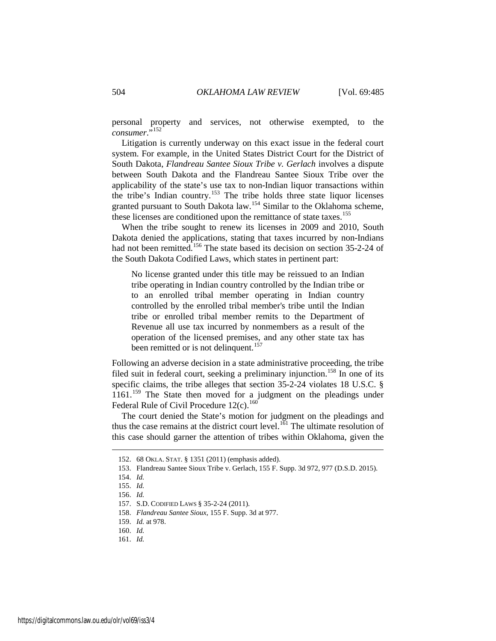personal property and services, not otherwise exempted, to the *consumer*."[152](#page-20-0)

Litigation is currently underway on this exact issue in the federal court system. For example, in the United States District Court for the District of South Dakota, *Flandreau Santee Sioux Tribe v. Gerlach* involves a dispute between South Dakota and the Flandreau Santee Sioux Tribe over the applicability of the state's use tax to non-Indian liquor transactions within the tribe's Indian country.[153](#page-20-1) The tribe holds three state liquor licenses granted pursuant to South Dakota law.<sup>[154](#page-20-2)</sup> Similar to the Oklahoma scheme, these licenses are conditioned upon the remittance of state taxes.<sup>[155](#page-20-3)</sup>

When the tribe sought to renew its licenses in 2009 and 2010, South Dakota denied the applications, stating that taxes incurred by non-Indians had not been remitted.<sup>[156](#page-20-4)</sup> The state based its decision on section 35-2-24 of the South Dakota Codified Laws, which states in pertinent part:

No license granted under this title may be reissued to an Indian tribe operating in Indian country controlled by the Indian tribe or to an enrolled tribal member operating in Indian country controlled by the enrolled tribal member's tribe until the Indian tribe or enrolled tribal member remits to the Department of Revenue all use tax incurred by nonmembers as a result of the operation of the licensed premises, and any other state tax has been remitted or is not delinquent.<sup>[157](#page-20-5)</sup>

Following an adverse decision in a state administrative proceeding, the tribe filed suit in federal court, seeking a preliminary injunction.<sup>[158](#page-20-6)</sup> In one of its specific claims, the tribe alleges that section 35-2-24 violates 18 U.S.C. § 1161.<sup>[159](#page-20-7)</sup> The State then moved for a judgment on the pleadings under Federal Rule of Civil Procedure  $12(c)$ .<sup>[160](#page-20-8)</sup>

The court denied the State's motion for judgment on the pleadings and thus the case remains at the district court level.<sup>[161](#page-20-9)</sup> The ultimate resolution of this case should garner the attention of tribes within Oklahoma, given the

<span id="page-20-0"></span><sup>152. 68</sup> OKLA. STAT. § 1351 (2011) (emphasis added).

<span id="page-20-1"></span><sup>153.</sup> Flandreau Santee Sioux Tribe v. Gerlach, 155 F. Supp. 3d 972, 977 (D.S.D. 2015).

<span id="page-20-2"></span><sup>154.</sup> *Id.*

<span id="page-20-3"></span><sup>155.</sup> *Id.*

<span id="page-20-4"></span><sup>156.</sup> *Id.*

<span id="page-20-5"></span><sup>157.</sup> S.D. CODIFIED LAWS § 35-2-24 (2011).

<span id="page-20-6"></span><sup>158.</sup> *Flandreau Santee Sioux*, 155 F. Supp. 3d at 977.

<span id="page-20-8"></span><span id="page-20-7"></span><sup>159.</sup> *Id.* at 978.

<sup>160.</sup> *Id.*

<span id="page-20-9"></span><sup>161.</sup> *Id.*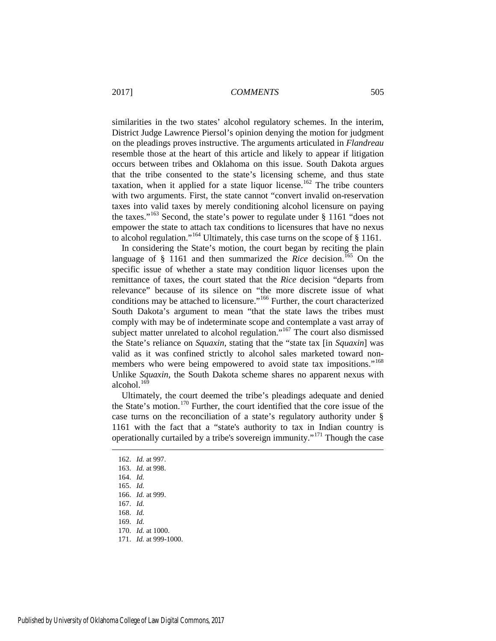similarities in the two states' alcohol regulatory schemes. In the interim, District Judge Lawrence Piersol's opinion denying the motion for judgment on the pleadings proves instructive. The arguments articulated in *Flandreau* resemble those at the heart of this article and likely to appear if litigation occurs between tribes and Oklahoma on this issue. South Dakota argues that the tribe consented to the state's licensing scheme, and thus state taxation, when it applied for a state liquor license.<sup>[162](#page-21-0)</sup> The tribe counters with two arguments. First, the state cannot "convert invalid on-reservation taxes into valid taxes by merely conditioning alcohol licensure on paying the taxes."<sup>[163](#page-21-1)</sup> Second, the state's power to regulate under  $\S$  1161 "does not empower the state to attach tax conditions to licensures that have no nexus to alcohol regulation."[164](#page-21-2) Ultimately, this case turns on the scope of § 1161.

In considering the State's motion, the court began by reciting the plain language of § 1161 and then summarized the *Rice* decision.<sup>[165](#page-21-3)</sup> On the specific issue of whether a state may condition liquor licenses upon the remittance of taxes, the court stated that the *Rice* decision "departs from relevance" because of its silence on "the more discrete issue of what conditions may be attached to licensure."[166](#page-21-4) Further, the court characterized South Dakota's argument to mean "that the state laws the tribes must comply with may be of indeterminate scope and contemplate a vast array of subject matter unrelated to alcohol regulation."[167](#page-21-5) The court also dismissed the State's reliance on *Squaxin*, stating that the "state tax [in *Squaxin*] was valid as it was confined strictly to alcohol sales marketed toward non-members who were being empowered to avoid state tax impositions."<sup>[168](#page-21-6)</sup> Unlike *Squaxin*, the South Dakota scheme shares no apparent nexus with alcohol. $16\overline{6}$ 

Ultimately, the court deemed the tribe's pleadings adequate and denied the State's motion. [170](#page-21-8) Further, the court identified that the core issue of the case turns on the reconciliation of a state's regulatory authority under § 1161 with the fact that a "state's authority to tax in Indian country is operationally curtailed by a tribe's sovereign immunity."[171](#page-21-9) Though the case

<span id="page-21-0"></span><sup>162.</sup> *Id.* at 997.

<span id="page-21-1"></span><sup>163.</sup> *Id.* at 998.

<span id="page-21-2"></span><sup>164.</sup> *Id.*

<span id="page-21-3"></span><sup>165.</sup> *Id.*

<span id="page-21-4"></span><sup>166.</sup> *Id.* at 999.

<span id="page-21-5"></span><sup>167.</sup> *Id.*

<span id="page-21-6"></span><sup>168.</sup> *Id.*

<span id="page-21-7"></span><sup>169.</sup> *Id.*

<span id="page-21-8"></span><sup>170.</sup> *Id.* at 1000.

<span id="page-21-9"></span><sup>171.</sup> *Id.* at 999-1000.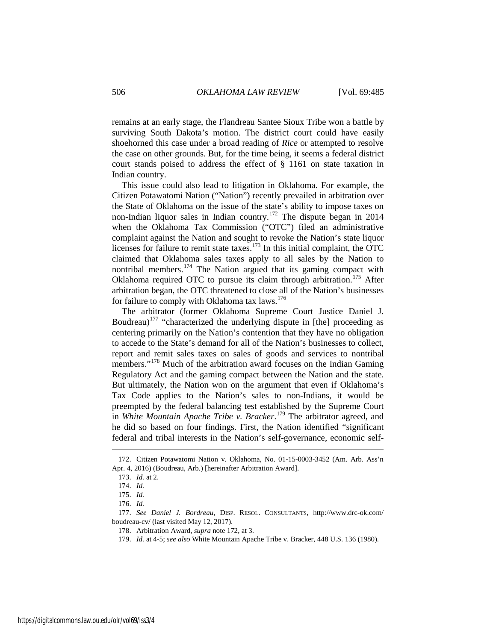remains at an early stage, the Flandreau Santee Sioux Tribe won a battle by surviving South Dakota's motion. The district court could have easily shoehorned this case under a broad reading of *Rice* or attempted to resolve the case on other grounds. But, for the time being, it seems a federal district court stands poised to address the effect of § 1161 on state taxation in Indian country.

<span id="page-22-0"></span>This issue could also lead to litigation in Oklahoma. For example, the Citizen Potawatomi Nation ("Nation") recently prevailed in arbitration over the State of Oklahoma on the issue of the state's ability to impose taxes on non-Indian liquor sales in Indian country.<sup>[172](#page-22-1)</sup> The dispute began in 2014 when the Oklahoma Tax Commission ("OTC") filed an administrative complaint against the Nation and sought to revoke the Nation's state liquor licenses for failure to remit state taxes.<sup>173</sup> In this initial complaint, the OTC claimed that Oklahoma sales taxes apply to all sales by the Nation to nontribal members.[174](#page-22-3) The Nation argued that its gaming compact with Oklahoma required OTC to pursue its claim through arbitration.<sup>[175](#page-22-4)</sup> After arbitration began, the OTC threatened to close all of the Nation's businesses for failure to comply with Oklahoma tax laws.<sup>[176](#page-22-5)</sup>

The arbitrator (former Oklahoma Supreme Court Justice Daniel J. Boudreau)<sup>[177](#page-22-6)</sup> "characterized the underlying dispute in [the] proceeding as centering primarily on the Nation's contention that they have no obligation to accede to the State's demand for all of the Nation's businesses to collect, report and remit sales taxes on sales of goods and services to nontribal members."<sup>[178](#page-22-7)</sup> Much of the arbitration award focuses on the Indian Gaming Regulatory Act and the gaming compact between the Nation and the state. But ultimately, the Nation won on the argument that even if Oklahoma's Tax Code applies to the Nation's sales to non-Indians, it would be preempted by the federal balancing test established by the Supreme Court in *White Mountain Apache Tribe v. Bracker*. [179](#page-22-8) The arbitrator agreed, and he did so based on four findings. First, the Nation identified "significant federal and tribal interests in the Nation's self-governance, economic self-

<span id="page-22-3"></span><span id="page-22-2"></span><span id="page-22-1"></span><sup>172.</sup> Citizen Potawatomi Nation v. Oklahoma, No. 01-15-0003-3452 (Am. Arb. Ass'n Apr. 4, 2016) (Boudreau, Arb.) [hereinafter Arbitration Award].

<sup>173.</sup> *Id.* at 2.

<sup>174.</sup> *Id.*

<sup>175.</sup> *Id.*

<sup>176.</sup> *Id.*

<span id="page-22-8"></span><span id="page-22-7"></span><span id="page-22-6"></span><span id="page-22-5"></span><span id="page-22-4"></span><sup>177.</sup> *See Daniel J. Bordreau*, DISP. RESOL. CONSULTANTS, http://www.drc-ok.com/ boudreau-cv/ (last visited May 12, 2017).

<sup>178.</sup> Arbitration Award, *supra* not[e 172,](#page-22-0) at 3.

<sup>179.</sup> *Id.* at 4-5; *see also* White Mountain Apache Tribe v. Bracker, 448 U.S. 136 (1980).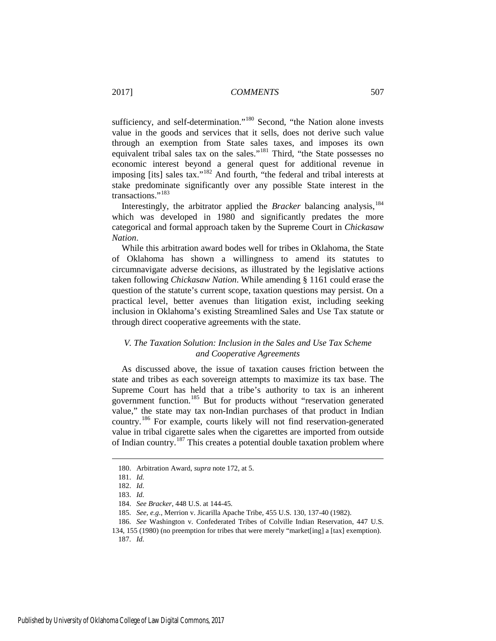sufficiency, and self-determination."<sup>[180](#page-23-0)</sup> Second, "the Nation alone invests value in the goods and services that it sells, does not derive such value through an exemption from State sales taxes, and imposes its own equivalent tribal sales tax on the sales."[181](#page-23-1) Third, "the State possesses no economic interest beyond a general quest for additional revenue in imposing [its] sales tax."[182](#page-23-2) And fourth, "the federal and tribal interests at stake predominate significantly over any possible State interest in the transactions."<sup>[183](#page-23-3)</sup>

Interestingly, the arbitrator applied the *Bracker* balancing analysis,<sup>[184](#page-23-4)</sup> which was developed in 1980 and significantly predates the more categorical and formal approach taken by the Supreme Court in *Chickasaw Nation*.

While this arbitration award bodes well for tribes in Oklahoma, the State of Oklahoma has shown a willingness to amend its statutes to circumnavigate adverse decisions, as illustrated by the legislative actions taken following *Chickasaw Nation*. While amending § 1161 could erase the question of the statute's current scope, taxation questions may persist. On a practical level, better avenues than litigation exist, including seeking inclusion in Oklahoma's existing Streamlined Sales and Use Tax statute or through direct cooperative agreements with the state.

### *V. The Taxation Solution: Inclusion in the Sales and Use Tax Scheme and Cooperative Agreements*

As discussed above, the issue of taxation causes friction between the state and tribes as each sovereign attempts to maximize its tax base. The Supreme Court has held that a tribe's authority to tax is an inherent government function.<sup>[185](#page-23-5)</sup> But for products without "reservation generated value," the state may tax non-Indian purchases of that product in Indian country.[186](#page-23-6) For example, courts likely will not find reservation-generated value in tribal cigarette sales when the cigarettes are imported from outside of Indian country.[187](#page-23-7) This creates a potential double taxation problem where

<span id="page-23-2"></span><span id="page-23-1"></span><span id="page-23-0"></span><u>.</u>

<sup>180.</sup> Arbitration Award, *supra* not[e 172,](#page-22-0) at 5.

<sup>181.</sup> *Id.*

<sup>182.</sup> *Id.*

<sup>183.</sup> *Id.*

<sup>184.</sup> *See Bracker*, 448 U.S. at 144-45.

<sup>185.</sup> *See, e.g.*, Merrion v. Jicarilla Apache Tribe, 455 U.S. 130, 137-40 (1982).

<span id="page-23-7"></span><span id="page-23-6"></span><span id="page-23-5"></span><span id="page-23-4"></span><span id="page-23-3"></span><sup>186.</sup> *See* Washington v. Confederated Tribes of Colville Indian Reservation, 447 U.S. 134, 155 (1980) (no preemption for tribes that were merely "market[ing] a [tax] exemption).

<sup>187.</sup> *Id.*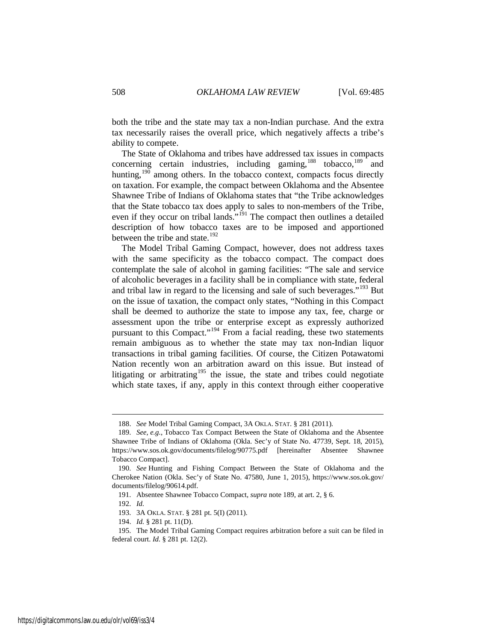both the tribe and the state may tax a non-Indian purchase. And the extra tax necessarily raises the overall price, which negatively affects a tribe's ability to compete.

<span id="page-24-0"></span>The State of Oklahoma and tribes have addressed tax issues in compacts concerning certain industries, including gaming,  $188$  tobacco,  $189$  and hunting, $190$  among others. In the tobacco context, compacts focus directly on taxation. For example, the compact between Oklahoma and the Absentee Shawnee Tribe of Indians of Oklahoma states that "the Tribe acknowledges that the State tobacco tax does apply to sales to non-members of the Tribe, even if they occur on tribal lands."<sup>[191](#page-24-4)</sup> The compact then outlines a detailed description of how tobacco taxes are to be imposed and apportioned between the tribe and state.<sup>[192](#page-24-5)</sup>

The Model Tribal Gaming Compact, however, does not address taxes with the same specificity as the tobacco compact. The compact does contemplate the sale of alcohol in gaming facilities: "The sale and service of alcoholic beverages in a facility shall be in compliance with state, federal and tribal law in regard to the licensing and sale of such beverages."[193](#page-24-6) But on the issue of taxation, the compact only states, "Nothing in this Compact shall be deemed to authorize the state to impose any tax, fee, charge or assessment upon the tribe or enterprise except as expressly authorized pursuant to this Compact."[194](#page-24-7) From a facial reading, these two statements remain ambiguous as to whether the state may tax non-Indian liquor transactions in tribal gaming facilities. Of course, the Citizen Potawatomi Nation recently won an arbitration award on this issue. But instead of litigating or arbitrating<sup>[195](#page-24-8)</sup> the issue, the state and tribes could negotiate which state taxes, if any, apply in this context through either cooperative

<sup>188.</sup> *See* Model Tribal Gaming Compact, 3A OKLA. STAT. § 281 (2011).

<span id="page-24-2"></span><span id="page-24-1"></span><sup>189.</sup> *See, e.g.*, Tobacco Tax Compact Between the State of Oklahoma and the Absentee Shawnee Tribe of Indians of Oklahoma (Okla. Sec'y of State No. 47739, Sept. 18, 2015), https://www.sos.ok.gov/documents/filelog/90775.pdf [hereinafter Absentee Shawnee Tobacco Compact].

<span id="page-24-4"></span><span id="page-24-3"></span><sup>190.</sup> *See* Hunting and Fishing Compact Between the State of Oklahoma and the Cherokee Nation (Okla. Sec'y of State No. 47580, June 1, 2015), https://www.sos.ok.gov/ documents/filelog/90614.pdf.

<sup>191.</sup> Absentee Shawnee Tobacco Compact, *supra* not[e 189,](#page-24-0) at art. 2, § 6.

<sup>192.</sup> *Id.*

<sup>193. 3</sup>A OKLA. STAT. § 281 pt. 5(I) (2011).

<sup>194.</sup> *Id.* § 281 pt. 11(D).

<span id="page-24-8"></span><span id="page-24-7"></span><span id="page-24-6"></span><span id="page-24-5"></span><sup>195.</sup> The Model Tribal Gaming Compact requires arbitration before a suit can be filed in federal court. *Id.* § 281 pt. 12(2).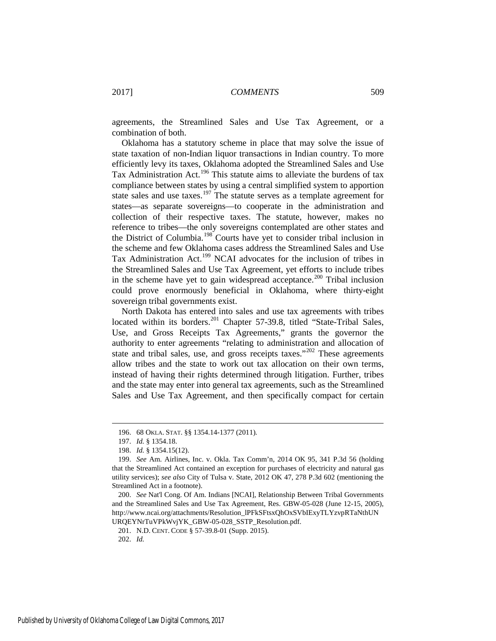agreements, the Streamlined Sales and Use Tax Agreement, or a combination of both.

Oklahoma has a statutory scheme in place that may solve the issue of state taxation of non-Indian liquor transactions in Indian country. To more efficiently levy its taxes, Oklahoma adopted the Streamlined Sales and Use Tax Administration Act.[196](#page-25-0) This statute aims to alleviate the burdens of tax compliance between states by using a central simplified system to apportion state sales and use taxes.<sup>[197](#page-25-1)</sup> The statute serves as a template agreement for states—as separate sovereigns—to cooperate in the administration and collection of their respective taxes. The statute, however, makes no reference to tribes—the only sovereigns contemplated are other states and the District of Columbia.[198](#page-25-2) Courts have yet to consider tribal inclusion in the scheme and few Oklahoma cases address the Streamlined Sales and Use Tax Administration Act.[199](#page-25-3) NCAI advocates for the inclusion of tribes in the Streamlined Sales and Use Tax Agreement, yet efforts to include tribes in the scheme have yet to gain widespread acceptance.<sup>[200](#page-25-4)</sup> Tribal inclusion could prove enormously beneficial in Oklahoma, where thirty-eight sovereign tribal governments exist.

North Dakota has entered into sales and use tax agreements with tribes located within its borders.<sup>[201](#page-25-5)</sup> Chapter 57-39.8, titled "State-Tribal Sales, Use, and Gross Receipts Tax Agreements," grants the governor the authority to enter agreements "relating to administration and allocation of state and tribal sales, use, and gross receipts taxes."<sup>[202](#page-25-6)</sup> These agreements allow tribes and the state to work out tax allocation on their own terms, instead of having their rights determined through litigation. Further, tribes and the state may enter into general tax agreements, such as the Streamlined Sales and Use Tax Agreement, and then specifically compact for certain

<sup>196. 68</sup> OKLA. STAT. §§ 1354.14-1377 (2011).

<sup>197.</sup> *Id.* § 1354.18.

<sup>198.</sup> *Id.* § 1354.15(12).

<span id="page-25-3"></span><span id="page-25-2"></span><span id="page-25-1"></span><span id="page-25-0"></span><sup>199.</sup> *See* Am. Airlines, Inc. v. Okla. Tax Comm'n, 2014 OK 95, 341 P.3d 56 (holding that the Streamlined Act contained an exception for purchases of electricity and natural gas utility services); *see also* City of Tulsa v. State, 2012 OK 47, 278 P.3d 602 (mentioning the Streamlined Act in a footnote).

<span id="page-25-5"></span><span id="page-25-4"></span><sup>200.</sup> *See* Nat'l Cong. Of Am. Indians [NCAI], Relationship Between Tribal Governments and the Streamlined Sales and Use Tax Agreement, Res. GBW-05-028 (June 12-15, 2005), http://www.ncai.org/attachments/Resolution\_lPFkSFtsxQhOxSVbIExyTLYzvpRTaNthUN URQEYNrTuVPkWvjYK\_GBW-05-028\_SSTP\_Resolution.pdf.

<sup>201.</sup> N.D. CENT. CODE § 57-39.8-01 (Supp. 2015).

<span id="page-25-6"></span><sup>202.</sup> *Id.*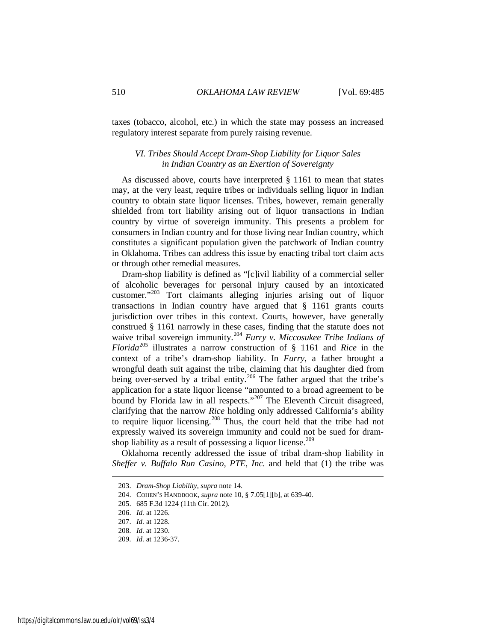taxes (tobacco, alcohol, etc.) in which the state may possess an increased regulatory interest separate from purely raising revenue.

#### *VI. Tribes Should Accept Dram-Shop Liability for Liquor Sales in Indian Country as an Exertion of Sovereignty*

As discussed above, courts have interpreted § 1161 to mean that states may, at the very least, require tribes or individuals selling liquor in Indian country to obtain state liquor licenses. Tribes, however, remain generally shielded from tort liability arising out of liquor transactions in Indian country by virtue of sovereign immunity. This presents a problem for consumers in Indian country and for those living near Indian country, which constitutes a significant population given the patchwork of Indian country in Oklahoma. Tribes can address this issue by enacting tribal tort claim acts or through other remedial measures.

Dram-shop liability is defined as "[c]ivil liability of a commercial seller of alcoholic beverages for personal injury caused by an intoxicated customer."[203](#page-26-0) Tort claimants alleging injuries arising out of liquor transactions in Indian country have argued that § 1161 grants courts jurisdiction over tribes in this context. Courts, however, have generally construed § 1161 narrowly in these cases, finding that the statute does not waive tribal sovereign immunity.[204](#page-26-1) *Furry v. Miccosukee Tribe Indians of Florida*[205](#page-26-2) illustrates a narrow construction of § 1161 and *Rice* in the context of a tribe's dram-shop liability. In *Furry*, a father brought a wrongful death suit against the tribe, claiming that his daughter died from being over-served by a tribal entity.<sup>[206](#page-26-3)</sup> The father argued that the tribe's application for a state liquor license "amounted to a broad agreement to be bound by Florida law in all respects."<sup>[207](#page-26-4)</sup> The Eleventh Circuit disagreed, clarifying that the narrow *Rice* holding only addressed California's ability to require liquor licensing.<sup>[208](#page-26-5)</sup> Thus, the court held that the tribe had not expressly waived its sovereign immunity and could not be sued for dram-shop liability as a result of possessing a liquor license.<sup>[209](#page-26-6)</sup>

<span id="page-26-0"></span>Oklahoma recently addressed the issue of tribal dram-shop liability in *Sheffer v. Buffalo Run Casino, PTE, Inc.* and held that (1) the tribe was

<sup>203.</sup> *Dram-Shop Liability*, *supra* not[e 14.](#page-3-1) 

<span id="page-26-1"></span><sup>204.</sup> COHEN'S HANDBOOK, *supra* note [10,](#page-2-7) § 7.05[1][b], at 639-40.

<span id="page-26-2"></span><sup>205. 685</sup> F.3d 1224 (11th Cir. 2012).

<span id="page-26-3"></span><sup>206.</sup> *Id.* at 1226.

<span id="page-26-4"></span><sup>207.</sup> *Id.* at 1228.

<sup>208.</sup> *Id.* at 1230.

<span id="page-26-6"></span><span id="page-26-5"></span><sup>209.</sup> *Id.* at 1236-37.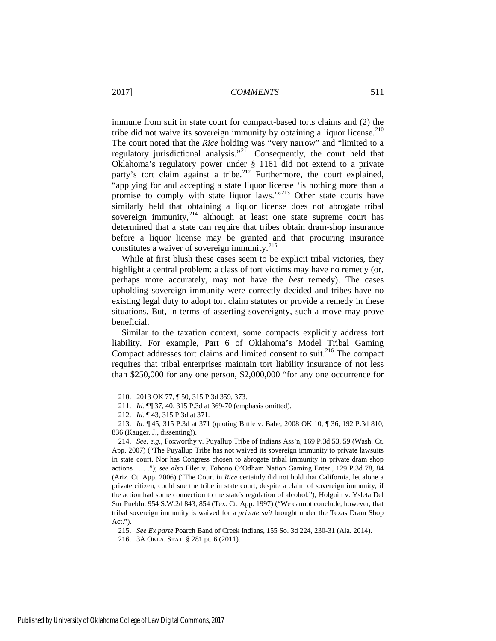immune from suit in state court for compact-based torts claims and (2) the tribe did not waive its sovereign immunity by obtaining a liquor license.<sup>[210](#page-27-0)</sup> The court noted that the *Rice* holding was "very narrow" and "limited to a regulatory jurisdictional analysis."<sup>[211](#page-27-1)</sup> Consequently, the court held that Oklahoma's regulatory power under § 1161 did not extend to a private party's tort claim against a tribe.<sup>[212](#page-27-2)</sup> Furthermore, the court explained, "applying for and accepting a state liquor license 'is nothing more than a promise to comply with state liquor laws.'"[213](#page-27-3) Other state courts have similarly held that obtaining a liquor license does not abrogate tribal sovereign immunity, $2^{14}$  although at least one state supreme court has determined that a state can require that tribes obtain dram-shop insurance before a liquor license may be granted and that procuring insurance constitutes a waiver of sovereign immunity.<sup>[215](#page-27-5)</sup>

While at first blush these cases seem to be explicit tribal victories, they highlight a central problem: a class of tort victims may have no remedy (or, perhaps more accurately, may not have the *best* remedy). The cases upholding sovereign immunity were correctly decided and tribes have no existing legal duty to adopt tort claim statutes or provide a remedy in these situations. But, in terms of asserting sovereignty, such a move may prove beneficial.

Similar to the taxation context, some compacts explicitly address tort liability. For example, Part 6 of Oklahoma's Model Tribal Gaming Compact addresses tort claims and limited consent to suit.<sup>[216](#page-27-6)</sup> The compact requires that tribal enterprises maintain tort liability insurance of not less than \$250,000 for any one person, \$2,000,000 "for any one occurrence for

215. *See Ex parte* Poarch Band of Creek Indians, 155 So. 3d 224, 230-31 (Ala. 2014).

<span id="page-27-6"></span><span id="page-27-5"></span>216. 3A OKLA. STAT. § 281 pt. 6 (2011).

<sup>210. 2013</sup> OK 77, ¶ 50, 315 P.3d 359, 373.

<sup>211.</sup> *Id.* ¶¶ 37, 40, 315 P.3d at 369-70 (emphasis omitted).

<sup>212.</sup> *Id.* ¶ 43, 315 P.3d at 371.

<span id="page-27-3"></span><span id="page-27-2"></span><span id="page-27-1"></span><span id="page-27-0"></span><sup>213.</sup> *Id.* ¶ 45, 315 P.3d at 371 (quoting Bittle v. Bahe, 2008 OK 10, ¶ 36, 192 P.3d 810, 836 (Kauger, J., dissenting)).

<span id="page-27-4"></span><sup>214.</sup> *See, e.g.*, Foxworthy v. Puyallup Tribe of Indians Ass'n, 169 P.3d 53, 59 (Wash. Ct. App. 2007) ("The Puyallup Tribe has not waived its sovereign immunity to private lawsuits in state court. Nor has Congress chosen to abrogate tribal immunity in private dram shop actions . . . ."); *see also* Filer v. Tohono O'Odham Nation Gaming Enter., 129 P.3d 78, 84 (Ariz. Ct. App. 2006) ("The Court in *Rice* certainly did not hold that California, let alone a private citizen, could sue the tribe in state court, despite a claim of sovereign immunity, if the action had some connection to the state's regulation of alcohol."); Holguin v. Ysleta Del Sur Pueblo, 954 S.W.2d 843, 854 (Tex. Ct. App. 1997) ("We cannot conclude, however, that tribal sovereign immunity is waived for a *private suit* brought under the Texas Dram Shop Act.").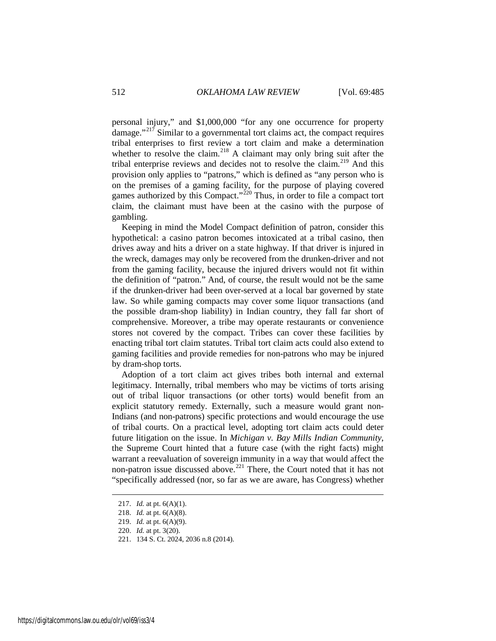personal injury," and \$1,000,000 "for any one occurrence for property damage."<sup>[217](#page-28-0)</sup> Similar to a governmental tort claims act, the compact requires tribal enterprises to first review a tort claim and make a determination whether to resolve the claim.<sup>[218](#page-28-1)</sup> A claimant may only bring suit after the tribal enterprise reviews and decides not to resolve the claim.<sup>[219](#page-28-2)</sup> And this provision only applies to "patrons," which is defined as "any person who is on the premises of a gaming facility, for the purpose of playing covered games authorized by this Compact." $220$  Thus, in order to file a compact tort claim, the claimant must have been at the casino with the purpose of gambling.

Keeping in mind the Model Compact definition of patron, consider this hypothetical: a casino patron becomes intoxicated at a tribal casino, then drives away and hits a driver on a state highway. If that driver is injured in the wreck, damages may only be recovered from the drunken-driver and not from the gaming facility, because the injured drivers would not fit within the definition of "patron." And, of course, the result would not be the same if the drunken-driver had been over-served at a local bar governed by state law. So while gaming compacts may cover some liquor transactions (and the possible dram-shop liability) in Indian country, they fall far short of comprehensive. Moreover, a tribe may operate restaurants or convenience stores not covered by the compact. Tribes can cover these facilities by enacting tribal tort claim statutes. Tribal tort claim acts could also extend to gaming facilities and provide remedies for non-patrons who may be injured by dram-shop torts.

Adoption of a tort claim act gives tribes both internal and external legitimacy. Internally, tribal members who may be victims of torts arising out of tribal liquor transactions (or other torts) would benefit from an explicit statutory remedy. Externally, such a measure would grant non-Indians (and non-patrons) specific protections and would encourage the use of tribal courts. On a practical level, adopting tort claim acts could deter future litigation on the issue. In *Michigan v. Bay Mills Indian Community*, the Supreme Court hinted that a future case (with the right facts) might warrant a reevaluation of sovereign immunity in a way that would affect the non-patron issue discussed above.[221](#page-28-4) There, the Court noted that it has not "specifically addressed (nor, so far as we are aware, has Congress) whether

<span id="page-28-0"></span><sup>217.</sup> *Id.* at pt. 6(A)(1).

<span id="page-28-1"></span><sup>218.</sup> *Id.* at pt. 6(A)(8).

<span id="page-28-2"></span><sup>219.</sup> *Id.* at pt. 6(A)(9).

<span id="page-28-3"></span><sup>220.</sup> *Id.* at pt. 3(20).

<span id="page-28-4"></span><sup>221. 134</sup> S. Ct. 2024, 2036 n.8 (2014).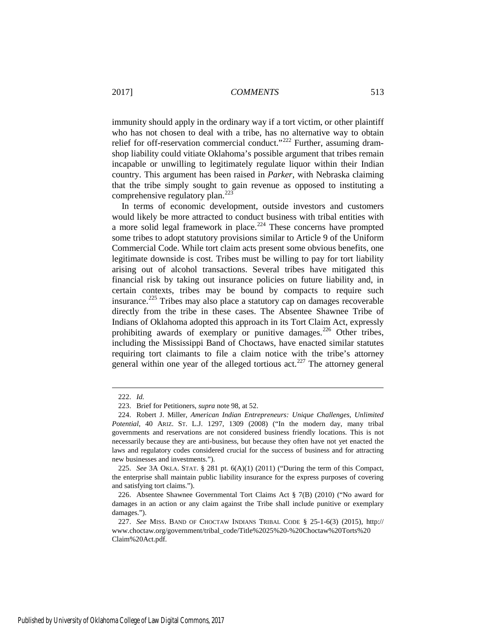immunity should apply in the ordinary way if a tort victim, or other plaintiff who has not chosen to deal with a tribe, has no alternative way to obtain relief for off-reservation commercial conduct."<sup>[222](#page-29-0)</sup> Further, assuming dramshop liability could vitiate Oklahoma's possible argument that tribes remain incapable or unwilling to legitimately regulate liquor within their Indian country. This argument has been raised in *Parker*, with Nebraska claiming that the tribe simply sought to gain revenue as opposed to instituting a comprehensive regulatory plan.<sup>[223](#page-29-1)</sup>

In terms of economic development, outside investors and customers would likely be more attracted to conduct business with tribal entities with a more solid legal framework in place.<sup>[224](#page-29-2)</sup> These concerns have prompted some tribes to adopt statutory provisions similar to Article 9 of the Uniform Commercial Code. While tort claim acts present some obvious benefits, one legitimate downside is cost. Tribes must be willing to pay for tort liability arising out of alcohol transactions. Several tribes have mitigated this financial risk by taking out insurance policies on future liability and, in certain contexts, tribes may be bound by compacts to require such insurance.<sup>[225](#page-29-3)</sup> Tribes may also place a statutory cap on damages recoverable directly from the tribe in these cases. The Absentee Shawnee Tribe of Indians of Oklahoma adopted this approach in its Tort Claim Act, expressly prohibiting awards of exemplary or punitive damages.<sup>[226](#page-29-4)</sup> Other tribes, including the Mississippi Band of Choctaws, have enacted similar statutes requiring tort claimants to file a claim notice with the tribe's attorney general within one year of the alleged tortious  $\arct{227}$  $\arct{227}$  $\arct{227}$  The attorney general

<sup>222.</sup> *Id.* 

<sup>223.</sup> Brief for Petitioners, *supra* not[e 98,](#page-13-7) at 52.

<span id="page-29-2"></span><span id="page-29-1"></span><span id="page-29-0"></span><sup>224.</sup> Robert J. Miller, *American Indian Entrepreneurs: Unique Challenges, Unlimited Potential*, 40 ARIZ. ST. L.J. 1297, 1309 (2008) ("In the modern day, many tribal governments and reservations are not considered business friendly locations. This is not necessarily because they are anti-business, but because they often have not yet enacted the laws and regulatory codes considered crucial for the success of business and for attracting new businesses and investments.").

<span id="page-29-3"></span><sup>225.</sup> *See* 3A OKLA. STAT. § 281 pt. 6(A)(1) (2011) ("During the term of this Compact, the enterprise shall maintain public liability insurance for the express purposes of covering and satisfying tort claims.").

<span id="page-29-4"></span><sup>226.</sup> Absentee Shawnee Governmental Tort Claims Act § 7(B) (2010) ("No award for damages in an action or any claim against the Tribe shall include punitive or exemplary damages.").

<span id="page-29-5"></span><sup>227.</sup> *See* MISS. BAND OF CHOCTAW INDIANS TRIBAL CODE § 25-1-6(3) (2015), http:// www.choctaw.org/government/tribal\_code/Title%2025%20-%20Choctaw%20Torts%20 Claim%20Act.pdf.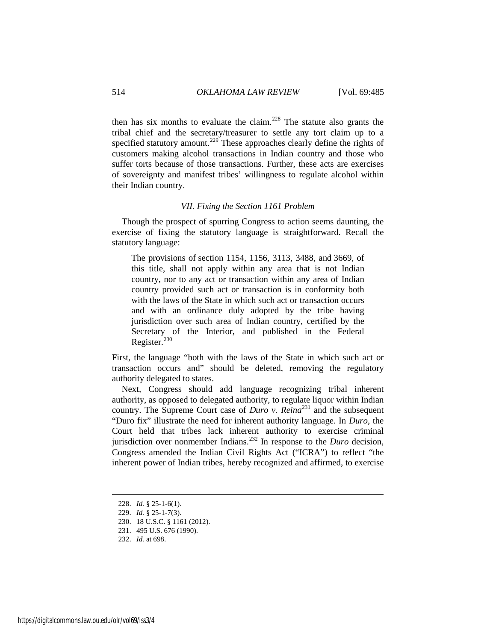then has six months to evaluate the claim.<sup>[228](#page-30-0)</sup> The statute also grants the tribal chief and the secretary/treasurer to settle any tort claim up to a specified statutory amount.<sup>[229](#page-30-1)</sup> These approaches clearly define the rights of customers making alcohol transactions in Indian country and those who suffer torts because of those transactions. Further, these acts are exercises of sovereignty and manifest tribes' willingness to regulate alcohol within their Indian country.

#### *VII. Fixing the Section 1161 Problem*

Though the prospect of spurring Congress to action seems daunting, the exercise of fixing the statutory language is straightforward. Recall the statutory language:

The provisions of [section 1154,](https://a.next.westlaw.com/Link/Document/FullText?findType=L&pubNum=1000546&cite=18USCAS1154&originatingDoc=NFA2FD590B36411D8983DF34406B5929B&refType=LQ&originationContext=document&transitionType=DocumentItem&contextData=(sc.UserEnteredCitation)) [1156,](https://a.next.westlaw.com/Link/Document/FullText?findType=L&pubNum=1000546&cite=18USCAS1156&originatingDoc=NFA2FD590B36411D8983DF34406B5929B&refType=LQ&originationContext=document&transitionType=DocumentItem&contextData=(sc.UserEnteredCitation)) [3113,](https://a.next.westlaw.com/Link/Document/FullText?findType=L&pubNum=1000546&cite=18USCAS3113&originatingDoc=NFA2FD590B36411D8983DF34406B5929B&refType=LQ&originationContext=document&transitionType=DocumentItem&contextData=(sc.UserEnteredCitation)) [3488,](https://a.next.westlaw.com/Link/Document/FullText?findType=L&pubNum=1000546&cite=18USCAS3488&originatingDoc=NFA2FD590B36411D8983DF34406B5929B&refType=LQ&originationContext=document&transitionType=DocumentItem&contextData=(sc.UserEnteredCitation)) and [3669,](https://a.next.westlaw.com/Link/Document/FullText?findType=L&pubNum=1000546&cite=18USCAS3669&originatingDoc=NFA2FD590B36411D8983DF34406B5929B&refType=LQ&originationContext=document&transitionType=DocumentItem&contextData=(sc.UserEnteredCitation)) of this title, shall not apply within any area that is not Indian country, nor to any act or transaction within any area of Indian country provided such act or transaction is in conformity both with the laws of the State in which such act or transaction occurs and with an ordinance duly adopted by the tribe having jurisdiction over such area of Indian country, certified by the Secretary of the Interior, and published in the Federal Register.<sup>[230](#page-30-2)</sup>

First, the language "both with the laws of the State in which such act or transaction occurs and" should be deleted, removing the regulatory authority delegated to states.

Next, Congress should add language recognizing tribal inherent authority, as opposed to delegated authority, to regulate liquor within Indian country. The Supreme Court case of *Duro v. Reina*<sup>[231](#page-30-3)</sup> and the subsequent "Duro fix" illustrate the need for inherent authority language. In *Duro*, the Court held that tribes lack inherent authority to exercise criminal jurisdiction over nonmember Indians.[232](#page-30-4) In response to the *Duro* decision, Congress amended the Indian Civil Rights Act ("ICRA") to reflect "the inherent power of Indian tribes, hereby recognized and affirmed, to exercise

<span id="page-30-0"></span><sup>228.</sup> *Id.* § 25-1-6(1).

<span id="page-30-1"></span><sup>229.</sup> *Id.* § 25-1-7(3).

<span id="page-30-2"></span><sup>230. 18</sup> U.S.C. § 1161 (2012).

<span id="page-30-3"></span><sup>231. 495</sup> U.S. 676 (1990).

<span id="page-30-4"></span><sup>232.</sup> *Id.* at 698.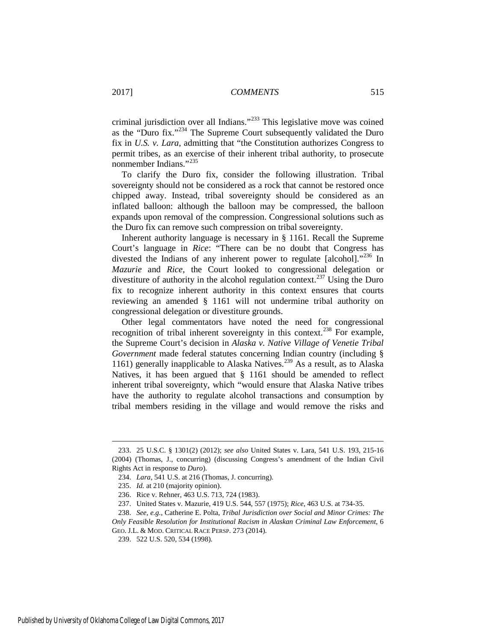criminal jurisdiction over all Indians."[233](#page-31-0) This legislative move was coined as the "Duro fix."[234](#page-31-1) The Supreme Court subsequently validated the Duro fix in *U.S. v. Lara*, admitting that "the Constitution authorizes Congress to permit tribes, as an exercise of their inherent tribal authority, to prosecute nonmember Indians."[235](#page-31-2)

To clarify the Duro fix, consider the following illustration. Tribal sovereignty should not be considered as a rock that cannot be restored once chipped away. Instead, tribal sovereignty should be considered as an inflated balloon: although the balloon may be compressed, the balloon expands upon removal of the compression. Congressional solutions such as the Duro fix can remove such compression on tribal sovereignty.

Inherent authority language is necessary in § 1161. Recall the Supreme Court's language in *Rice*: "There can be no doubt that Congress has divested the Indians of any inherent power to regulate [alcohol]."<sup>[236](#page-31-3)</sup> In *Mazurie* and *Rice*, the Court looked to congressional delegation or divestiture of authority in the alcohol regulation context.<sup>[237](#page-31-4)</sup> Using the Duro fix to recognize inherent authority in this context ensures that courts reviewing an amended § 1161 will not undermine tribal authority on congressional delegation or divestiture grounds.

<span id="page-31-7"></span>Other legal commentators have noted the need for congressional recognition of tribal inherent sovereignty in this context.<sup>[238](#page-31-5)</sup> For example, the Supreme Court's decision in *Alaska v. Native Village of Venetie Tribal Government* made federal statutes concerning Indian country (including § 1161) generally inapplicable to Alaska Natives.<sup>[239](#page-31-6)</sup> As a result, as to Alaska Natives, it has been argued that § 1161 should be amended to reflect inherent tribal sovereignty, which "would ensure that Alaska Native tribes have the authority to regulate alcohol transactions and consumption by tribal members residing in the village and would remove the risks and

<span id="page-31-1"></span><span id="page-31-0"></span><sup>233. 25</sup> U.S.C. § 1301(2) (2012); *see also* United States v. Lara, 541 U.S. 193, 215-16 (2004) (Thomas, J., concurring) (discussing Congress's amendment of the Indian Civil Rights Act in response to *Duro*).

<sup>234.</sup> *Lara*, 541 U.S. at 216 (Thomas, J. concurring).

<sup>235.</sup> *Id.* at 210 (majority opinion).

<sup>236.</sup> Rice v. Rehner, 463 U.S. 713, 724 (1983).

<sup>237.</sup> United States v. Mazurie, 419 U.S. 544, 557 (1975); *Rice*, 463 U.S. at 734-35.

<span id="page-31-6"></span><span id="page-31-5"></span><span id="page-31-4"></span><span id="page-31-3"></span><span id="page-31-2"></span><sup>238.</sup> *See, e.g.*, Catherine E. Polta, *Tribal Jurisdiction over Social and Minor Crimes: The Only Feasible Resolution for Institutional Racism in Alaskan Criminal Law Enforcement*, 6 GEO. J.L. & MOD. CRITICAL RACE PERSP. 273 (2014).

<sup>239. 522</sup> U.S. 520, 534 (1998).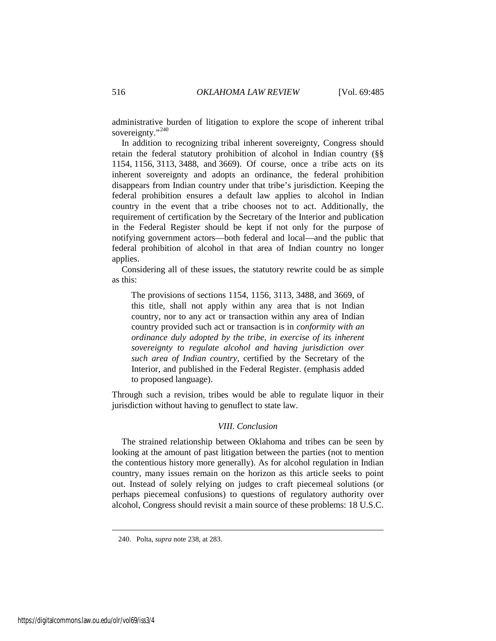administrative burden of litigation to explore the scope of inherent tribal sovereignty."<sup>[240](#page-32-0)</sup>

In addition to recognizing tribal inherent sovereignty, Congress should retain the federal statutory prohibition of alcohol in Indian country (§§ 1154, [1156,](https://a.next.westlaw.com/Link/Document/FullText?findType=L&pubNum=1000546&cite=18USCAS1156&originatingDoc=NFA2FD590B36411D8983DF34406B5929B&refType=LQ&originationContext=document&transitionType=DocumentItem&contextData=(sc.UserEnteredCitation)) [3113,](https://a.next.westlaw.com/Link/Document/FullText?findType=L&pubNum=1000546&cite=18USCAS3113&originatingDoc=NFA2FD590B36411D8983DF34406B5929B&refType=LQ&originationContext=document&transitionType=DocumentItem&contextData=(sc.UserEnteredCitation)) [3488,](https://a.next.westlaw.com/Link/Document/FullText?findType=L&pubNum=1000546&cite=18USCAS3488&originatingDoc=NFA2FD590B36411D8983DF34406B5929B&refType=LQ&originationContext=document&transitionType=DocumentItem&contextData=(sc.UserEnteredCitation)) and [3669\)](https://a.next.westlaw.com/Link/Document/FullText?findType=L&pubNum=1000546&cite=18USCAS3669&originatingDoc=NFA2FD590B36411D8983DF34406B5929B&refType=LQ&originationContext=document&transitionType=DocumentItem&contextData=(sc.UserEnteredCitation)). Of course, once a tribe acts on its inherent sovereignty and adopts an ordinance, the federal prohibition disappears from Indian country under that tribe's jurisdiction. Keeping the federal prohibition ensures a default law applies to alcohol in Indian country in the event that a tribe chooses not to act. Additionally, the requirement of certification by the Secretary of the Interior and publication in the Federal Register should be kept if not only for the purpose of notifying government actors—both federal and local—and the public that federal prohibition of alcohol in that area of Indian country no longer applies.

Considering all of these issues, the statutory rewrite could be as simple as this:

The provisions of [sections 1154,](https://a.next.westlaw.com/Link/Document/FullText?findType=L&pubNum=1000546&cite=18USCAS1154&originatingDoc=NFA2FD590B36411D8983DF34406B5929B&refType=LQ&originationContext=document&transitionType=DocumentItem&contextData=(sc.UserEnteredCitation)) [1156,](https://a.next.westlaw.com/Link/Document/FullText?findType=L&pubNum=1000546&cite=18USCAS1156&originatingDoc=NFA2FD590B36411D8983DF34406B5929B&refType=LQ&originationContext=document&transitionType=DocumentItem&contextData=(sc.UserEnteredCitation)) [3113,](https://a.next.westlaw.com/Link/Document/FullText?findType=L&pubNum=1000546&cite=18USCAS3113&originatingDoc=NFA2FD590B36411D8983DF34406B5929B&refType=LQ&originationContext=document&transitionType=DocumentItem&contextData=(sc.UserEnteredCitation)) [3488,](https://a.next.westlaw.com/Link/Document/FullText?findType=L&pubNum=1000546&cite=18USCAS3488&originatingDoc=NFA2FD590B36411D8983DF34406B5929B&refType=LQ&originationContext=document&transitionType=DocumentItem&contextData=(sc.UserEnteredCitation)) and [3669,](https://a.next.westlaw.com/Link/Document/FullText?findType=L&pubNum=1000546&cite=18USCAS3669&originatingDoc=NFA2FD590B36411D8983DF34406B5929B&refType=LQ&originationContext=document&transitionType=DocumentItem&contextData=(sc.UserEnteredCitation)) of this title, shall not apply within any area that is not Indian country, nor to any act or transaction within any area of Indian country provided such act or transaction is in *conformity with an ordinance duly adopted by the tribe, in exercise of its inherent sovereignty to regulate alcohol and having jurisdiction over such area of Indian country*, certified by the Secretary of the Interior, and published in the Federal Register. (emphasis added to proposed language).

Through such a revision, tribes would be able to regulate liquor in their jurisdiction without having to genuflect to state law.

#### *VIII. Conclusion*

The strained relationship between Oklahoma and tribes can be seen by looking at the amount of past litigation between the parties (not to mention the contentious history more generally). As for alcohol regulation in Indian country, many issues remain on the horizon as this article seeks to point out. Instead of solely relying on judges to craft piecemeal solutions (or perhaps piecemeal confusions) to questions of regulatory authority over alcohol, Congress should revisit a main source of these problems: 18 U.S.C.

<span id="page-32-0"></span><sup>240.</sup> Polta, *supra* note [238,](#page-31-7) at 283.